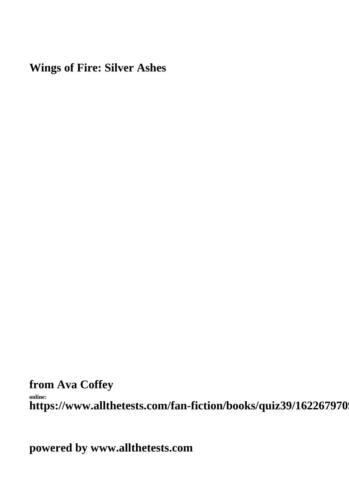#### **Wings of Fire: Silver Ashes**

**from Ava Coffey**

**online:** https://www.allthetests.com/fan-fiction/books/quiz39/162267970

**powered by www.allthetests.com**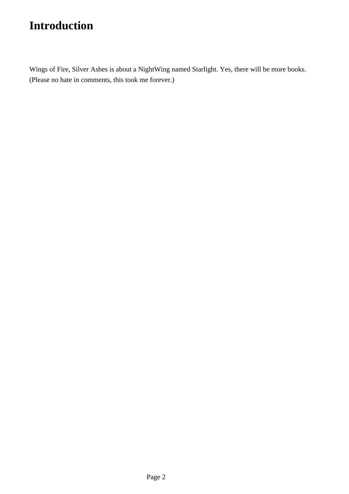## **Introduction**

Wings of Fire, Silver Ashes is about a NightWing named Starlight. Yes, there will be more books. (Please no hate in comments, this took me forever.)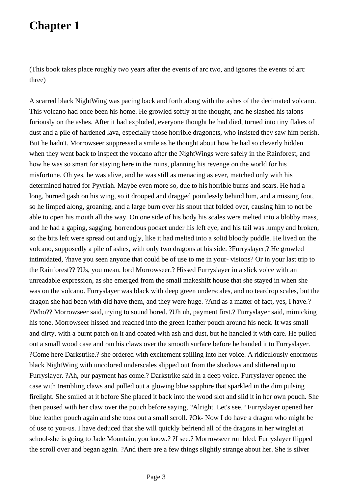(This book takes place roughly two years after the events of arc two, and ignores the events of arc three)

A scarred black NightWing was pacing back and forth along with the ashes of the decimated volcano. This volcano had once been his home. He growled softly at the thought, and he slashed his talons furiously on the ashes. After it had exploded, everyone thought he had died, turned into tiny flakes of dust and a pile of hardened lava, especially those horrible dragonets, who insisted they saw him perish. But he hadn't. Morrowseer suppressed a smile as he thought about how he had so cleverly hidden when they went back to inspect the volcano after the NightWings were safely in the Rainforest, and how he was so smart for staying here in the ruins, planning his revenge on the world for his misfortune. Oh yes, he was alive, and he was still as menacing as ever, matched only with his determined hatred for Pyyriah. Maybe even more so, due to his horrible burns and scars. He had a long, burned gash on his wing, so it drooped and dragged pointlessly behind him, and a missing foot, so he limped along, groaning, and a large burn over his snout that folded over, causing him to not be able to open his mouth all the way. On one side of his body his scales were melted into a blobby mass, and he had a gaping, sagging, horrendous pocket under his left eye, and his tail was lumpy and broken, so the bits left were spread out and ugly, like it had melted into a solid bloody puddle. He lived on the volcano, supposedly a pile of ashes, with only two dragons at his side. ?Furryslayer,? He growled intimidated, ?have you seen anyone that could be of use to me in your- visions? Or in your last trip to the Rainforest?? ?Us, you mean, lord Morrowseer.? Hissed Furryslayer in a slick voice with an unreadable expression, as she emerged from the small makeshift house that she stayed in when she was on the volcano. Furryslayer was black with deep green underscales, and no teardrop scales, but the dragon she had been with did have them, and they were huge. ?And as a matter of fact, yes, I have.? ?Who?? Morrowseer said, trying to sound bored. ?Uh uh, payment first.? Furryslayer said, mimicking his tone. Morrowseer hissed and reached into the green leather pouch around his neck. It was small and dirty, with a burnt patch on it and coated with ash and dust, but he handled it with care. He pulled out a small wood case and ran his claws over the smooth surface before he handed it to Furryslayer. ?Come here Darkstrike.? she ordered with excitement spilling into her voice. A ridiculously enormous black NightWing with uncolored underscales slipped out from the shadows and slithered up to Furryslayer. ?Ah, our payment has come.? Darkstrike said in a deep voice. Furryslayer opened the case with trembling claws and pulled out a glowing blue sapphire that sparkled in the dim pulsing firelight. She smiled at it before She placed it back into the wood slot and slid it in her own pouch. She then paused with her claw over the pouch before saying, ?Alright. Let's see.? Furryslayer opened her blue leather pouch again and she took out a small scroll. ?Ok- Now I do have a dragon who might be of use to you-us. I have deduced that she will quickly befriend all of the dragons in her winglet at school-she is going to Jade Mountain, you know.? ?I see.? Morrowseer rumbled. Furryslayer flipped the scroll over and began again. ?And there are a few things slightly strange about her. She is silver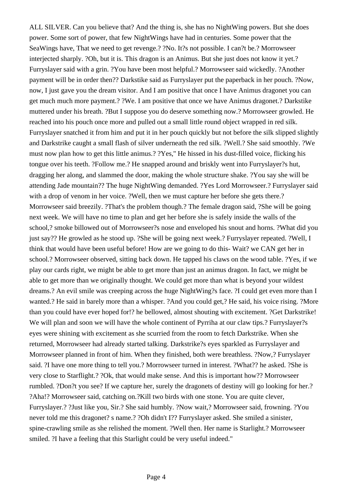ALL SILVER. Can you believe that? And the thing is, she has no NightWing powers. But she does power. Some sort of power, that few NightWings have had in centuries. Some power that the SeaWings have, That we need to get revenge.? ?No. It?s not possible. I can?t be.? Morrowseer interjected sharply. ?Oh, but it is. This dragon is an Animus. But she just does not know it yet.? Furryslayer said with a grin. ?You have been most helpful.? Morrowseer said wickedly. ?Another payment will be in order then?? Darkstike said as Furryslayer put the paperback in her pouch. ?Now, now, I just gave you the dream visitor. And I am positive that once I have Animus dragonet you can get much much more payment.? ?We. I am positive that once we have Animus dragonet.? Darkstike muttered under his breath. ?But I suppose you do deserve something now.? Morrowseer growled. He reached into his pouch once more and pulled out a small little round object wrapped in red silk. Furryslayer snatched it from him and put it in her pouch quickly but not before the silk slipped slightly and Darkstrike caught a small flash of silver underneath the red silk. ?Well.? She said smoothly. ?We must now plan how to get this little animus.? ?Yes,'' He hissed in his dust-filled voice, flicking his tongue over his teeth. ?Follow me.? He snapped around and briskly went into Furryslayer?s hut, dragging her along, and slammed the door, making the whole structure shake. ?You say she will be attending Jade mountain?? The huge NightWing demanded. ?Yes Lord Morrowseer.? Furryslayer said with a drop of venom in her voice. ?Well, then we must capture her before she gets there.? Morrowseer said breezily. ?That's the problem though.? The female dragon said, ?She will be going next week. We will have no time to plan and get her before she is safely inside the walls of the school,? smoke billowed out of Morrowseer?s nose and enveloped his snout and horns. ?What did you just say?? He growled as he stood up. ?She will be going next week.? Furryslayer repeated. ?Well, I think that would have been useful before! How are we going to do this- Wait? we CAN get her in school.? Morrowseer observed, sitting back down. He tapped his claws on the wood table. ?Yes, if we play our cards right, we might be able to get more than just an animus dragon. In fact, we might be able to get more than we originally thought. We could get more than what is beyond your wildest dreams.? An evil smile was creeping across the huge NightWing?s face. ?I could get even more than I wanted.? He said in barely more than a whisper. ?And you could get,? He said, his voice rising. ?More than you could have ever hoped for!? he bellowed, almost shouting with excitement. ?Get Darkstrike! We will plan and soon we will have the whole continent of Pyrriha at our claw tips.? Furryslayer?s eyes were shining with excitement as she scurried from the room to fetch Darkstrike. When she returned, Morrowseer had already started talking. Darkstrike?s eyes sparkled as Furryslayer and Morrowseer planned in front of him. When they finished, both were breathless. ?Now,? Furryslayer said. ?I have one more thing to tell you.? Morrowseer turned in interest. ?What?? he asked. ?She is very close to Starflight.? ?Ok, that would make sense. And this is important how?? Morrowseer rumbled. ?Don?t you see? If we capture her, surely the dragonets of destiny will go looking for her.? ?Aha!? Morrowseer said, catching on.?Kill two birds with one stone. You are quite clever, Furryslayer.? ?Just like you, Sir.? She said humbly. ?Now wait,? Morrowseer said, frowning. ?You never told me this dragonet? s name.? ?Oh didn't I?? Furryslayer asked. She smiled a sinister, spine-crawling smile as she relished the moment. ?Well then. Her name is Starlight.? Morrowseer smiled. ?I have a feeling that this Starlight could be very useful indeed."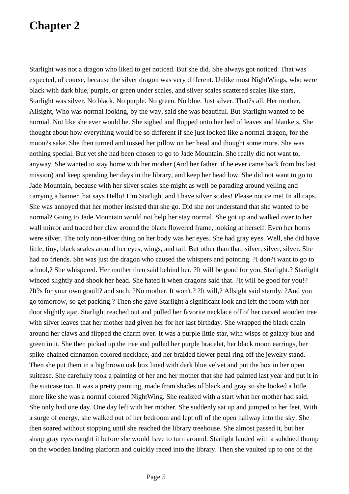Starlight was not a dragon who liked to get noticed. But she did. She always got noticed. That was expected, of course, because the silver dragon was very different. Unlike most NightWings, who were black with dark blue, purple, or green under scales, and silver scales scattered scales like stars, Starlight was silver. No black. No purple. No green. No blue. Just silver. That?s all. Her mother, Allsight, Who was normal looking, by the way, said she was beautiful. But Starlight wanted to be normal. Not like she ever would be. She sighed and flopped onto her bed of leaves and blankets. She thought about how everything would be so different if she just looked like a normal dragon, for the moon?s sake. She then turned and tossed her pillow on her head and thought some more. She was nothing special. But yet she had been chosen to go to Jade Mountain. She really did not want to, anyway. She wanted to stay home with her mother (And her father, if he ever came back from his last mission) and keep spending her days in the library, and keep her head low. She did not want to go to Jade Mountain, because with her silver scales she might as well be parading around yelling and carrying a banner that says Hello! I?m Starlight and I have silver scales! Please notice me! In all caps. She was annoyed that her mother insisted that she go. Did she not understand that she wanted to be normal? Going to Jade Mountain would not help her stay normal. She got up and walked over to her wall mirror and traced her claw around the black flowered frame, looking at herself. Even her horns were silver. The only non-silver thing on her body was her eyes. She had gray eyes. Well, she did have little, tiny, black scales around her eyes, wings, and tail. But other than that, silver, silver, silver. She had no friends. She was just the dragon who caused the whispers and pointing. ?I don?t want to go to school,? She whispered. Her mother then said behind her, ?It will be good for you, Starlight.? Starlight winced slightly and shook her head. She hated it when dragons said that. ?It will be good for you!? ?It?s for your own good!? and such. ?No mother. It won't.? ?It will,? Allsight said sternly. ?And you go tomorrow, so get packing.? Then she gave Starlight a significant look and left the room with her door slightly ajar. Starlight reached out and pulled her favorite necklace off of her carved wooden tree with silver leaves that her mother had given her for her last birthday. She wrapped the black chain around her claws and flipped the charm over. It was a purple little star, with wisps of galaxy blue and green in it. She then picked up the tree and pulled her purple bracelet, her black moon earrings, her spike-chained cinnamon-colored necklace, and her braided flower petal ring off the jewelry stand. Then she put them in a big brown oak box lined with dark blue velvet and put the box in her open suitcase. She carefully took a painting of her and her mother that she had painted last year and put it in the suitcase too. It was a pretty painting, made from shades of black and gray so she looked a little more like she was a normal colored NightWing. She realized with a start what her mother had said. She only had one day. One day left with her mother. She suddenly sat up and jumped to her feet. With a surge of energy, she walked out of her bedroom and lept off of the open hallway into the sky. She then soared without stopping until she reached the library treehouse. She almost passed it, but her sharp gray eyes caught it before she would have to turn around. Starlight landed with a subdued thump on the wooden landing platform and quickly raced into the library. Then she vaulted up to one of the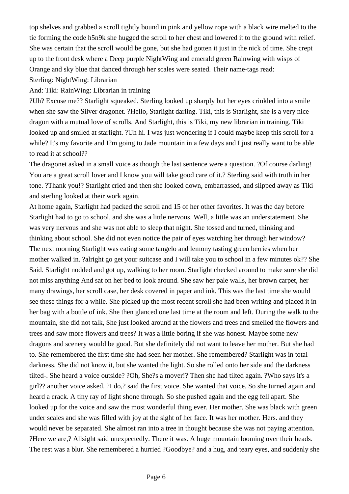top shelves and grabbed a scroll tightly bound in pink and yellow rope with a black wire melted to the tie forming the code h5n9k she hugged the scroll to her chest and lowered it to the ground with relief. She was certain that the scroll would be gone, but she had gotten it just in the nick of time. She crept up to the front desk where a Deep purple NightWing and emerald green Rainwing with wisps of Orange and sky blue that danced through her scales were seated. Their name-tags read: Sterling: NightWing: Librarian

And: Tiki: RainWing: Librarian in training

?Uh? Excuse me?? Starlight squeaked. Sterling looked up sharply but her eyes crinkled into a smile when she saw the Silver dragonet. ?Hello, Starlight darling. Tiki, this is Starlight, she is a very nice dragon with a mutual love of scrolls. And Starlight, this is Tiki, my new librarian in training. Tiki looked up and smiled at starlight. ?Uh hi. I was just wondering if I could maybe keep this scroll for a while? It's my favorite and I?m going to Jade mountain in a few days and I just really want to be able to read it at school??

The dragonet asked in a small voice as though the last sentence were a question. ?Of course darling! You are a great scroll lover and I know you will take good care of it.? Sterling said with truth in her tone. ?Thank you!? Starlight cried and then she looked down, embarrassed, and slipped away as Tiki and sterling looked at their work again.

At home again, Starlight had packed the scroll and 15 of her other favorites. It was the day before Starlight had to go to school, and she was a little nervous. Well, a little was an understatement. She was very nervous and she was not able to sleep that night. She tossed and turned, thinking and thinking about school. She did not even notice the pair of eyes watching her through her window? The next morning Starlight was eating some tangelo and lemony tasting green berries when her mother walked in. ?alright go get your suitcase and I will take you to school in a few minutes ok?? She Said. Starlight nodded and got up, walking to her room. Starlight checked around to make sure she did not miss anything And sat on her bed to look around. She saw her pale walls, her brown carpet, her many drawings, her scroll case, her desk covered in paper and ink. This was the last time she would see these things for a while. She picked up the most recent scroll she had been writing and placed it in her bag with a bottle of ink. She then glanced one last time at the room and left. During the walk to the mountain, she did not talk, She just looked around at the flowers and trees and smelled the flowers and trees and saw more flowers and trees? It was a little boring if she was honest. Maybe some new dragons and scenery would be good. But she definitely did not want to leave her mother. But she had to. She remembered the first time she had seen her mother. She remembered? Starlight was in total darkness. She did not know it, but she wanted the light. So she rolled onto her side and the darkness tilted-. She heard a voice outside? ?Oh, She?s a mover!? Then she had tilted again. ?Who says it's a girl?? another voice asked. ?I do,? said the first voice. She wanted that voice. So she turned again and heard a crack. A tiny ray of light shone through. So she pushed again and the egg fell apart. She looked up for the voice and saw the most wonderful thing ever. Her mother. She was black with green under scales and she was filled with joy at the sight of her face. It was her mother. Hers. and they would never be separated. She almost ran into a tree in thought because she was not paying attention. ?Here we are,? Allsight said unexpectedly. There it was. A huge mountain looming over their heads. The rest was a blur. She remembered a hurried ?Goodbye? and a hug, and teary eyes, and suddenly she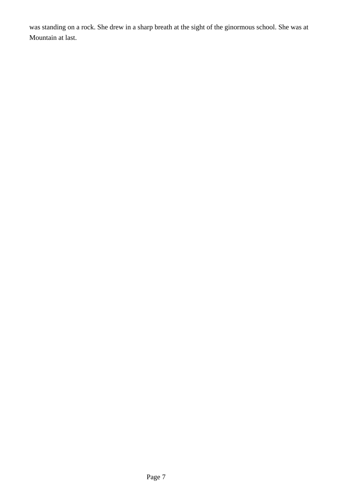was standing on a rock. She drew in a sharp breath at the sight of the ginormous school. She was at Mountain at last.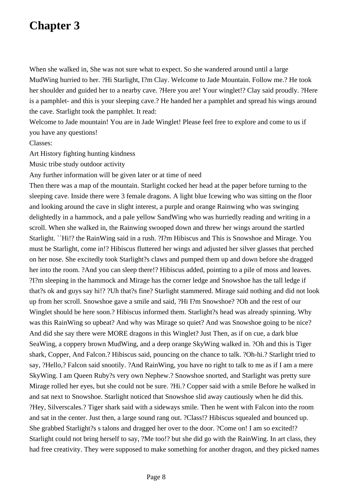When she walked in, She was not sure what to expect. So she wandered around until a large MudWing hurried to her. ?Hi Starlight, I?m Clay. Welcome to Jade Mountain. Follow me.? He took her shoulder and guided her to a nearby cave. ?Here you are! Your winglet!? Clay said proudly. ?Here is a pamphlet- and this is your sleeping cave.? He handed her a pamphlet and spread his wings around the cave. Starlight took the pamphlet. It read:

Welcome to Jade mountain! You are in Jade Winglet! Please feel free to explore and come to us if you have any questions!

#### Classes:

Art History fighting hunting kindness

Music tribe study outdoor activity

Any further information will be given later or at time of need

Then there was a map of the mountain. Starlight cocked her head at the paper before turning to the sleeping cave. Inside there were 3 female dragons. A light blue Icewing who was sitting on the floor and looking around the cave in slight interest, a purple and orange Rainwing who was swinging delightedly in a hammock, and a pale yellow SandWing who was hurriedly reading and writing in a scroll. When she walked in, the Rainwing swooped down and threw her wings around the startled Starlight. ``Hi!? the RainWing said in a rush. ?I?m Hibiscus and This is Snowshoe and Mirage. You must be Starlight, come in!? Hibiscus fluttered her wings and adjusted her silver glasses that perched on her nose. She excitedly took Starlight?s claws and pumped them up and down before she dragged her into the room. ?And you can sleep there!? Hibiscus added, pointing to a pile of moss and leaves. ?I?m sleeping in the hammock and Mirage has the corner ledge and Snowshoe has the tall ledge if that?s ok and guys say hi!? ?Uh that?s fine? Starlight stammered. Mirage said nothing and did not look up from her scroll. Snowshoe gave a smile and said, ?Hi I?m Snowshoe? ?Oh and the rest of our Winglet should be here soon.? Hibiscus informed them. Starlight?s head was already spinning. Why was this RainWing so upbeat? And why was Mirage so quiet? And was Snowshoe going to be nice? And did she say there were MORE dragons in this Winglet? Just Then, as if on cue, a dark blue SeaWing, a coppery brown MudWing, and a deep orange SkyWing walked in. ?Oh and this is Tiger shark, Copper, And Falcon.? Hibiscus said, pouncing on the chance to talk. ?Oh-hi.? Starlight tried to say, ?Hello,? Falcon said snootily. ?And RainWing, you have no right to talk to me as if I am a mere SkyWing. I am Queen Ruby?s very own Nephew.? Snowshoe snorted, and Starlight was pretty sure Mirage rolled her eyes, but she could not be sure. ?Hi.? Copper said with a smile Before he walked in and sat next to Snowshoe. Starlight noticed that Snowshoe slid away cautiously when he did this. ?Hey, Silverscales.? Tiger shark said with a sideways smile. Then he went with Falcon into the room and sat in the center. Just then, a large sound rang out. ?Class!? Hibiscus squealed and bounced up. She grabbed Starlight?s s talons and dragged her over to the door. ?Come on! I am so excited!? Starlight could not bring herself to say, ?Me too!? but she did go with the RainWing. In art class, they had free creativity. They were supposed to make something for another dragon, and they picked names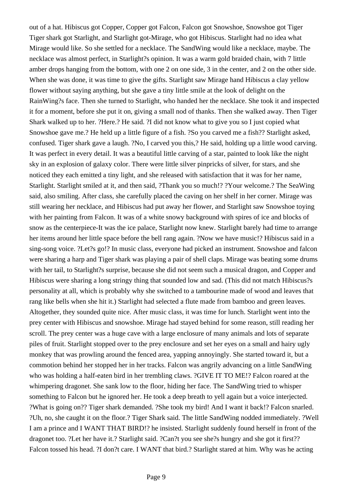out of a hat. Hibiscus got Copper, Copper got Falcon, Falcon got Snowshoe, Snowshoe got Tiger Tiger shark got Starlight, and Starlight got-Mirage, who got Hibiscus. Starlight had no idea what Mirage would like. So she settled for a necklace. The SandWing would like a necklace, maybe. The necklace was almost perfect, in Starlight?s opinion. It was a warm gold braided chain, with 7 little amber drops hanging from the bottom, with one 2 on one side, 3 in the center, and 2 on the other side. When she was done, it was time to give the gifts. Starlight saw Mirage hand Hibiscus a clay yellow flower without saying anything, but she gave a tiny little smile at the look of delight on the RainWing?s face. Then she turned to Starlight, who handed her the necklace. She took it and inspected it for a moment, before she put it on, giving a small nod of thanks. Then she walked away. Then Tiger Shark walked up to her. ?Here.? He said. ?I did not know what to give you so I just copied what Snowshoe gave me.? He held up a little figure of a fish. ?So you carved me a fish?? Starlight asked, confused. Tiger shark gave a laugh. ?No, I carved you this,? He said, holding up a little wood carving. It was perfect in every detail. It was a beautiful little carving of a star, painted to look like the night sky in an explosion of galaxy color. There were little silver pinpricks of silver, for stars, and she noticed they each emitted a tiny light, and she released with satisfaction that it was for her name, Starlight. Starlight smiled at it, and then said, ?Thank you so much!? ?Your welcome.? The SeaWing said, also smiling. After class, she carefully placed the caving on her shelf in her corner. Mirage was still wearing her necklace, and Hibiscus had put away her flower, and Starlight saw Snowshoe toying with her painting from Falcon. It was of a white snowy background with spires of ice and blocks of snow as the centerpiece-It was the ice palace, Starlight now knew. Starlight barely had time to arrange her items around her little space before the bell rang again. ?Now we have music!? Hibiscus said in a sing-song voice. ?Let?s go!? In music class, everyone had picked an instrument. Snowshoe and falcon were sharing a harp and Tiger shark was playing a pair of shell claps. Mirage was beating some drums with her tail, to Starlight?s surprise, because she did not seem such a musical dragon, and Copper and Hibiscus were sharing a long stringy thing that sounded low and sad. (This did not match Hibiscus?s personality at all, which is probably why she switched to a tambourine made of wood and leaves that rang like bells when she hit it.) Starlight had selected a flute made from bamboo and green leaves. Altogether, they sounded quite nice. After music class, it was time for lunch. Starlight went into the prey center with Hibiscus and snowshoe. Mirage had stayed behind for some reason, still reading her scroll. The prey center was a huge cave with a large enclosure of many animals and lots of separate piles of fruit. Starlight stopped over to the prey enclosure and set her eyes on a small and hairy ugly monkey that was prowling around the fenced area, yapping annoyingly. She started toward it, but a commotion behind her stopped her in her tracks. Falcon was angrily advancing on a little SandWing who was holding a half-eaten bird in her trembling claws. ?GIVE IT TO ME!? Falcon roared at the whimpering dragonet. She sank low to the floor, hiding her face. The SandWing tried to whisper something to Falcon but he ignored her. He took a deep breath to yell again but a voice interjected. ?What is going on?? Tiger shark demanded. ?She took my bird! And I want it back!? Falcon snarled. ?Uh, no, she caught it on the floor.? Tiger Shark said. The little SandWing nodded immediately. ?Well I am a prince and I WANT THAT BIRD!? he insisted. Starlight suddenly found herself in front of the dragonet too. ?Let her have it.? Starlight said. ?Can?t you see she?s hungry and she got it first?? Falcon tossed his head. ?I don?t care. I WANT that bird.? Starlight stared at him. Why was he acting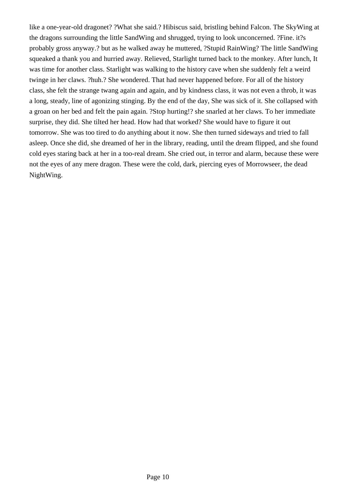like a one-year-old dragonet? ?What she said.? Hibiscus said, bristling behind Falcon. The SkyWing at the dragons surrounding the little SandWing and shrugged, trying to look unconcerned. ?Fine. it?s probably gross anyway.? but as he walked away he muttered, ?Stupid RainWing? The little SandWing squeaked a thank you and hurried away. Relieved, Starlight turned back to the monkey. After lunch, It was time for another class. Starlight was walking to the history cave when she suddenly felt a weird twinge in her claws. ?huh.? She wondered. That had never happened before. For all of the history class, she felt the strange twang again and again, and by kindness class, it was not even a throb, it was a long, steady, line of agonizing stinging. By the end of the day, She was sick of it. She collapsed with a groan on her bed and felt the pain again. ?Stop hurting!? she snarled at her claws. To her immediate surprise, they did. She tilted her head. How had that worked? She would have to figure it out tomorrow. She was too tired to do anything about it now. She then turned sideways and tried to fall asleep. Once she did, she dreamed of her in the library, reading, until the dream flipped, and she found cold eyes staring back at her in a too-real dream. She cried out, in terror and alarm, because these were not the eyes of any mere dragon. These were the cold, dark, piercing eyes of Morrowseer, the dead NightWing.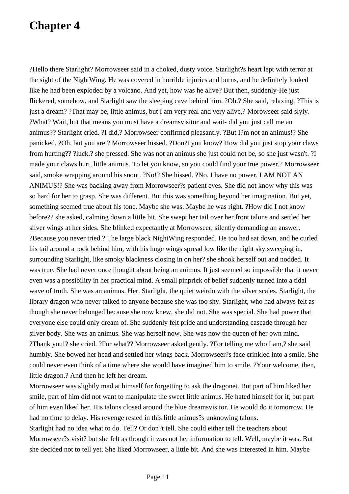?Hello there Starlight? Morrowseer said in a choked, dusty voice. Starlight?s heart lept with terror at the sight of the NightWing. He was covered in horrible injuries and burns, and he definitely looked like he had been exploded by a volcano. And yet, how was he alive? But then, suddenly-He just flickered, somehow, and Starlight saw the sleeping cave behind him. ?Oh.? She said, relaxing. ?This is just a dream? ?That may be, little animus, but I am very real and very alive,? Morowseer said slyly. ?What? Wait, but that means you must have a dreamsvisitor and wait- did you just call me an animus?? Starlight cried. ?I did,? Morrowseer confirmed pleasantly. ?But I?m not an animus!? She panicked. ?Oh, but you are.? Morrowseer hissed. ?Don?t you know? How did you just stop your claws from hurting?? ?luck.? she pressed. She was not an animus she just could not be, so she just wasn't. ?I made your claws hurt, little animus. To let you know, so you could find your true power.? Morrowseer said, smoke wrapping around his snout. ?No!? She hissed. ?No. I have no power. I AM NOT AN ANIMUS!? She was backing away from Morrowseer?s patient eyes. She did not know why this was so hard for her to grasp. She was different. But this was something beyond her imagination. But yet, something seemed true about his tone. Maybe she was. Maybe he was right. ?How did I not know before?? she asked, calming down a little bit. She swept her tail over her front talons and settled her silver wings at her sides. She blinked expectantly at Morrowseer, silently demanding an answer. ?Because you never tried.? The large black NightWing responded. He too had sat down, and he curled his tail around a rock behind him, with his huge wings spread low like the night sky sweeping in, surrounding Starlight, like smoky blackness closing in on her? she shook herself out and nodded. It was true. She had never once thought about being an animus. It just seemed so impossible that it never even was a possibility in her practical mind. A small pinprick of belief suddenly turned into a tidal wave of truth. She was an animus. Her. Starlight, the quiet weirdo with the silver scales. Starlight, the library dragon who never talked to anyone because she was too shy. Starlight, who had always felt as though she never belonged because she now knew, she did not. She was special. She had power that everyone else could only dream of. She suddenly felt pride and understanding cascade through her silver body. She was an animus. She was herself now. She was now the queen of her own mind. ?Thank you!? she cried. ?For what?? Morrowseer asked gently. ?For telling me who I am,? she said humbly. She bowed her head and settled her wings back. Morrowseer?s face crinkled into a smile. She could never even think of a time where she would have imagined him to smile. ?Your welcome, then, little dragon.? And then he left her dream.

Morrowseer was slightly mad at himself for forgetting to ask the dragonet. But part of him liked her smile, part of him did not want to manipulate the sweet little animus. He hated himself for it, but part of him even liked her. His talons closed around the blue dreamsvisitor. He would do it tomorrow. He had no time to delay. His revenge rested in this little animus?s unknowing talons.

Starlight had no idea what to do. Tell? Or don?t tell. She could either tell the teachers about Morrowseer?s visit? but she felt as though it was not her information to tell. Well, maybe it was. But she decided not to tell yet. She liked Morrowseer, a little bit. And she was interested in him. Maybe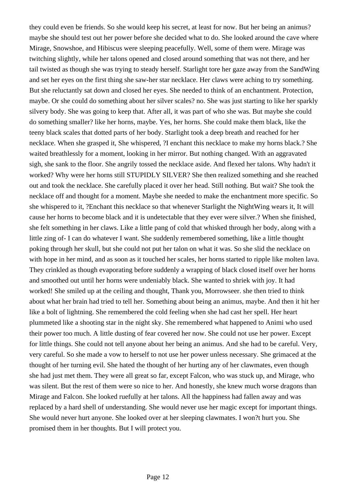they could even be friends. So she would keep his secret, at least for now. But her being an animus? maybe she should test out her power before she decided what to do. She looked around the cave where Mirage, Snowshoe, and Hibiscus were sleeping peacefully. Well, some of them were. Mirage was twitching slightly, while her talons opened and closed around something that was not there, and her tail twisted as though she was trying to steady herself. Starlight tore her gaze away from the SandWing and set her eyes on the first thing she saw-her star necklace. Her claws were aching to try something. But she reluctantly sat down and closed her eyes. She needed to think of an enchantment. Protection, maybe. Or she could do something about her silver scales? no. She was just starting to like her sparkly silvery body. She was going to keep that. After all, it was part of who she was. But maybe she could do something smaller? like her horns, maybe. Yes, her horns. She could make them black, like the teeny black scales that dotted parts of her body. Starlight took a deep breath and reached for her necklace. When she grasped it, She whispered, ?I enchant this necklace to make my horns black.? She waited breathlessly for a moment, looking in her mirror. But nothing changed. With an aggravated sigh, she sank to the floor. She angrily tossed the necklace aside. And flexed her talons. Why hadn't it worked? Why were her horns still STUPIDLY SILVER? She then realized something and she reached out and took the necklace. She carefully placed it over her head. Still nothing. But wait? She took the necklace off and thought for a moment. Maybe she needed to make the enchantment more specific. So she whispered to it, ?Enchant this necklace so that whenever Starlight the NightWing wears it, It will cause her horns to become black and it is undetectable that they ever were silver.? When she finished, she felt something in her claws. Like a little pang of cold that whisked through her body, along with a little zing of- I can do whatever I want. She suddenly remembered something, like a little thought poking through her skull, but she could not put her talon on what it was. So she slid the necklace on with hope in her mind, and as soon as it touched her scales, her horns started to ripple like molten lava. They crinkled as though evaporating before suddenly a wrapping of black closed itself over her horns and smoothed out until her horns were undeniably black. She wanted to shriek with joy. It had worked! She smiled up at the ceiling and thought, Thank you, Morrowseer. she then tried to think about what her brain had tried to tell her. Something about being an animus, maybe. And then it hit her like a bolt of lightning. She remembered the cold feeling when she had cast her spell. Her heart plummeted like a shooting star in the night sky. She remembered what happened to Animi who used their power too much. A little dusting of fear covered her now. She could not use her power. Except for little things. She could not tell anyone about her being an animus. And she had to be careful. Very, very careful. So she made a vow to herself to not use her power unless necessary. She grimaced at the thought of her turning evil. She hated the thought of her hurting any of her clawmates, even though she had just met them. They were all great so far, except Falcon, who was stuck up, and Mirage, who was silent. But the rest of them were so nice to her. And honestly, she knew much worse dragons than Mirage and Falcon. She looked ruefully at her talons. All the happiness had fallen away and was replaced by a hard shell of understanding. She would never use her magic except for important things. She would never hurt anyone. She looked over at her sleeping clawmates. I won?t hurt you. She promised them in her thoughts. But I will protect you.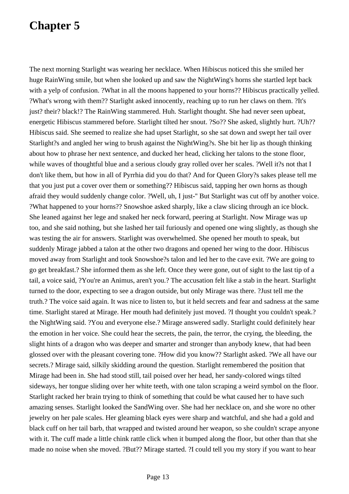The next morning Starlight was wearing her necklace. When Hibiscus noticed this she smiled her huge RainWing smile, but when she looked up and saw the NightWing's horns she startled lept back with a yelp of confusion. ?What in all the moons happened to your horns?? Hibiscus practically yelled. ?What's wrong with them?? Starlight asked innocently, reaching up to run her claws on them. ?It's just? their? black!? The RainWing stammered. Huh. Starlight thought. She had never seen upbeat, energetic Hibiscus stammered before. Starlight tilted her snout. ?So?? She asked, slightly hurt. ?Uh?? Hibiscus said. She seemed to realize she had upset Starlight, so she sat down and swept her tail over Starlight?s and angled her wing to brush against the NightWing?s. She bit her lip as though thinking about how to phrase her next sentence, and ducked her head, clicking her talons to the stone floor, while waves of thoughtful blue and a serious cloudy gray rolled over her scales. ?Well it?s not that I don't like them, but how in all of Pyrrhia did you do that? And for Queen Glory?s sakes please tell me that you just put a cover over them or something?? Hibiscus said, tapping her own horns as though afraid they would suddenly change color. ?Well, uh, I just-'' But Starlight was cut off by another voice. ?What happened to your horns?? Snowshoe asked sharply, like a claw slicing through an ice block. She leaned against her lege and snaked her neck forward, peering at Starlight. Now Mirage was up too, and she said nothing, but she lashed her tail furiously and opened one wing slightly, as though she was testing the air for answers. Starlight was overwhelmed. She opened her mouth to speak, but suddenly Mirage jabbed a talon at the other two dragons and opened her wing to the door. Hibiscus moved away from Starlight and took Snowshoe?s talon and led her to the cave exit. ?We are going to go get breakfast.? She informed them as she left. Once they were gone, out of sight to the last tip of a tail, a voice said, ?You're an Animus, aren't you.? The accusation felt like a stab in the heart. Starlight turned to the door, expecting to see a dragon outside, but only Mirage was there. ?Just tell me the truth.? The voice said again. It was nice to listen to, but it held secrets and fear and sadness at the same time. Starlight stared at Mirage. Her mouth had definitely just moved. ?I thought you couldn't speak.? the NightWing said. ?You and everyone else.? Mirage answered sadly. Starlight could definitely hear the emotion in her voice. She could hear the secrets, the pain, the terror, the crying, the bleeding, the slight hints of a dragon who was deeper and smarter and stronger than anybody knew, that had been glossed over with the pleasant covering tone. ?How did you know?? Starlight asked. ?We all have our secrets.? Mirage said, silkily skidding around the question. Starlight remembered the position that Mirage had been in. She had stood still, tail poised over her head, her sandy-colored wings tilted sideways, her tongue sliding over her white teeth, with one talon scraping a weird symbol on the floor. Starlight racked her brain trying to think of something that could be what caused her to have such amazing senses. Starlight looked the SandWing over. She had her necklace on, and she wore no other jewelry on her pale scales. Her gleaming black eyes were sharp and watchful, and she had a gold and black cuff on her tail barb, that wrapped and twisted around her weapon, so she couldn't scrape anyone with it. The cuff made a little chink rattle click when it bumped along the floor, but other than that she made no noise when she moved. ?But?? Mirage started. ?I could tell you my story if you want to hear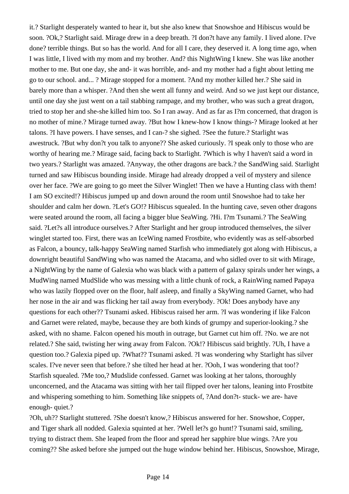it.? Starlight desperately wanted to hear it, but she also knew that Snowshoe and Hibiscus would be soon. ?Ok,? Starlight said. Mirage drew in a deep breath. ?I don?t have any family. I lived alone. I?ve done? terrible things. But so has the world. And for all I care, they deserved it. A long time ago, when I was little, I lived with my mom and my brother. And? this NightWing I knew. She was like another mother to me. But one day, she and- it was horrible, and- and my mother had a fight about letting me go to our school. and... ? Mirage stopped for a moment. ?And my mother killed her.? She said in barely more than a whisper. ?And then she went all funny and weird. And so we just kept our distance, until one day she just went on a tail stabbing rampage, and my brother, who was such a great dragon, tried to stop her and she-she killed him too. So I ran away. And as far as I?m concerned, that dragon is no mother of mine.? Mirage turned away. ?But how I knew-how I know things-? Mirage looked at her talons. ?I have powers. I have senses, and I can-? she sighed. ?See the future.? Starlight was awestruck. ?But why don?t you talk to anyone?? She asked curiously. ?I speak only to those who are worthy of hearing me.? Mirage said, facing back to Starlight. ?Which is why I haven't said a word in two years.? Starlight was amazed. ?Anyway, the other dragons are back.? the SandWing said. Starlight turned and saw Hibiscus bounding inside. Mirage had already dropped a veil of mystery and silence over her face. ?We are going to go meet the Silver Winglet! Then we have a Hunting class with them! I am SO excited!? Hibiscus jumped up and down around the room until Snowshoe had to take her shoulder and calm her down. ?Let's GO!? Hibiscus squealed. In the hunting cave, seven other dragons were seated around the room, all facing a bigger blue SeaWing. ?Hi. I?m Tsunami.? The SeaWing said. ?Let?s all introduce ourselves.? After Starlight and her group introduced themselves, the silver winglet started too. First, there was an IceWing named Frostbite, who evidently was as self-absorbed as Falcon, a bouncy, talk-happy SeaWing named Starfish who immediately got along with Hibiscus, a downright beautiful SandWing who was named the Atacama, and who sidled over to sit with Mirage, a NightWing by the name of Galexia who was black with a pattern of galaxy spirals under her wings, a MudWing named MudSlide who was messing with a little chunk of rock, a RainWing named Papaya who was lazily flopped over on the floor, half asleep, and finally a SkyWing named Garnet, who had her nose in the air and was flicking her tail away from everybody. ?Ok! Does anybody have any questions for each other?? Tsunami asked. Hibiscus raised her arm. ?I was wondering if like Falcon and Garnet were related, maybe, because they are both kinds of grumpy and superior-looking.? she asked, with no shame. Falcon opened his mouth in outrage, but Garnet cut him off. ?No. we are not related.? She said, twisting her wing away from Falcon. ?Ok!? Hibiscus said brightly. ?Uh, I have a question too.? Galexia piped up. ?What?? Tsunami asked. ?I was wondering why Starlight has silver scales. I?ve never seen that before.? she tilted her head at her. ?Ooh, I was wondering that too!? Starfish squealed. ?Me too,? Mudslide confessed. Garnet was looking at her talons, thoroughly unconcerned, and the Atacama was sitting with her tail flipped over her talons, leaning into Frostbite and whispering something to him. Something like snippets of, ?And don?t- stuck- we are- have enough- quiet.?

?Oh, uh?? Starlight stuttered. ?She doesn't know,? Hibiscus answered for her. Snowshoe, Copper, and Tiger shark all nodded. Galexia squinted at her. ?Well let?s go hunt!? Tsunami said, smiling, trying to distract them. She leaped from the floor and spread her sapphire blue wings. ?Are you coming?? She asked before she jumped out the huge window behind her. Hibiscus, Snowshoe, Mirage,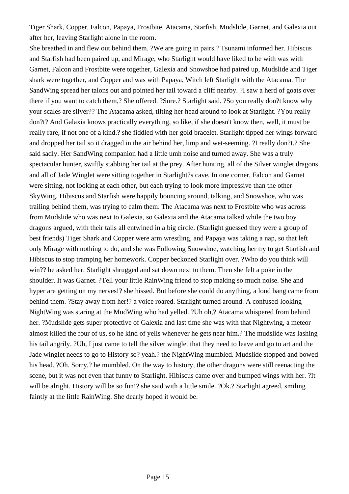Tiger Shark, Copper, Falcon, Papaya, Frostbite, Atacama, Starfish, Mudslide, Garnet, and Galexia out after her, leaving Starlight alone in the room.

She breathed in and flew out behind them. ?We are going in pairs.? Tsunami informed her. Hibiscus and Starfish had been paired up, and Mirage, who Starlight would have liked to be with was with Garnet, Falcon and Frostbite were together, Galexia and Snowshoe had paired up, Mudslide and Tiger shark were together, and Copper and was with Papaya, Witch left Starlight with the Atacama. The SandWing spread her talons out and pointed her tail toward a cliff nearby. ?I saw a herd of goats over there if you want to catch them,? She offered. ?Sure.? Starlight said. ?So you really don?t know why your scales are silver?? The Atacama asked, tilting her head around to look at Starlight. ?You really don?t? And Galaxia knows practically everything, so like, if she doesn't know then, well, it must be really rare, if not one of a kind.? she fiddled with her gold bracelet. Starlight tipped her wings forward and dropped her tail so it dragged in the air behind her, limp and wet-seeming. ?I really don?t.? She said sadly. Her SandWing companion had a little umh noise and turned away. She was a truly spectacular hunter, swiftly stabbing her tail at the prey. After hunting, all of the Silver winglet dragons and all of Jade Winglet were sitting together in Starlight?s cave. In one corner, Falcon and Garnet were sitting, not looking at each other, but each trying to look more impressive than the other SkyWing. Hibiscus and Starfish were happily bouncing around, talking, and Snowshoe, who was trailing behind them, was trying to calm them. The Atacama was next to Frostbite who was across from Mudslide who was next to Galexia, so Galexia and the Atacama talked while the two boy dragons argued, with their tails all entwined in a big circle. (Starlight guessed they were a group of best friends) Tiger Shark and Copper were arm wrestling, and Papaya was taking a nap, so that left only Mirage with nothing to do, and she was Following Snowshoe, watching her try to get Starfish and Hibiscus to stop tramping her homework. Copper beckoned Starlight over. ?Who do you think will win?? he asked her. Starlight shrugged and sat down next to them. Then she felt a poke in the shoulder. It was Garnet. ?Tell your little RainWing friend to stop making so much noise. She and hyper are getting on my nerves!? she hissed. But before she could do anything, a loud bang came from behind them. ?Stay away from her!? a voice roared. Starlight turned around. A confused-looking NightWing was staring at the MudWing who had yelled. ?Uh oh,? Atacama whispered from behind her. ?Mudslide gets super protective of Galexia and last time she was with that Nightwing, a meteor almost killed the four of us, so he kind of yells whenever he gets near him.? The mudslide was lashing his tail angrily. ?Uh, I just came to tell the silver winglet that they need to leave and go to art and the Jade winglet needs to go to History so? yeah.? the NightWing mumbled. Mudslide stopped and bowed his head. ?Oh. Sorry,? he mumbled. On the way to history, the other dragons were still reenacting the scene, but it was not even that funny to Starlight. Hibiscus came over and bumped wings with her. ?It will be alright. History will be so fun!? she said with a little smile. ?Ok.? Starlight agreed, smiling faintly at the little RainWing. She dearly hoped it would be.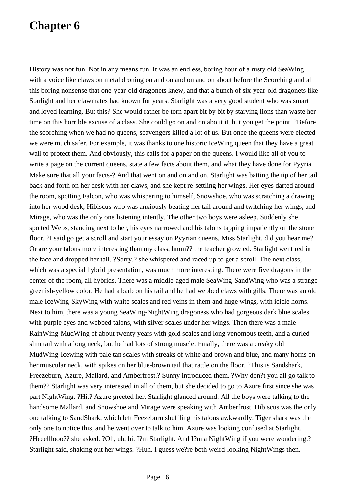History was not fun. Not in any means fun. It was an endless, boring hour of a rusty old SeaWing with a voice like claws on metal droning on and on and on and on about before the Scorching and all this boring nonsense that one-year-old dragonets knew, and that a bunch of six-year-old dragonets like Starlight and her clawmates had known for years. Starlight was a very good student who was smart and loved learning. But this? She would rather be torn apart bit by bit by starving lions than waste her time on this horrible excuse of a class. She could go on and on about it, but you get the point. ?Before the scorching when we had no queens, scavengers killed a lot of us. But once the queens were elected we were much safer. For example, it was thanks to one historic IceWing queen that they have a great wall to protect them. And obviously, this calls for a paper on the queens. I would like all of you to write a page on the current queens, state a few facts about them, and what they have done for Pyyria. Make sure that all your facts-? And that went on and on and on. Starlight was batting the tip of her tail back and forth on her desk with her claws, and she kept re-settling her wings. Her eyes darted around the room, spotting Falcon, who was whispering to himself, Snowshoe, who was scratching a drawing into her wood desk, Hibiscus who was anxiously beating her tail around and twitching her wings, and Mirage, who was the only one listening intently. The other two boys were asleep. Suddenly she spotted Webs, standing next to her, his eyes narrowed and his talons tapping impatiently on the stone floor. ?I said go get a scroll and start your essay on Pyyrian queens, Miss Starlight, did you hear me? Or are your talons more interesting than my class, hmm?? the teacher growled. Starlight went red in the face and dropped her tail. ?Sorry,? she whispered and raced up to get a scroll. The next class, which was a special hybrid presentation, was much more interesting. There were five dragons in the center of the room, all hybrids. There was a middle-aged male SeaWing-SandWing who was a strange greenish-yellow color. He had a barb on his tail and he had webbed claws with gills. There was an old male IceWing-SkyWing with white scales and red veins in them and huge wings, with icicle horns. Next to him, there was a young SeaWing-NightWing dragoness who had gorgeous dark blue scales with purple eyes and webbed talons, with silver scales under her wings. Then there was a male RainWing-MudWing of about twenty years with gold scales and long venomous teeth, and a curled slim tail with a long neck, but he had lots of strong muscle. Finally, there was a creaky old MudWing-Icewing with pale tan scales with streaks of white and brown and blue, and many horns on her muscular neck, with spikes on her blue-brown tail that rattle on the floor. ?This is Sandshark, Freezeburn, Azure, Mallard, and Amberfrost.? Sunny introduced them. ?Why don?t you all go talk to them?? Starlight was very interested in all of them, but she decided to go to Azure first since she was part NightWing. ?Hi.? Azure greeted her. Starlight glanced around. All the boys were talking to the handsome Mallard, and Snowshoe and Mirage were speaking with Amberfrost. Hibiscus was the only one talking to SandShark, which left Feezeburn shuffling his talons awkwardly. Tiger shark was the only one to notice this, and he went over to talk to him. Azure was looking confused at Starlight. ?Heeelllooo?? she asked. ?Oh, uh, hi. I?m Starlight. And I?m a NightWing if you were wondering.? Starlight said, shaking out her wings. ?Huh. I guess we?re both weird-looking NightWings then.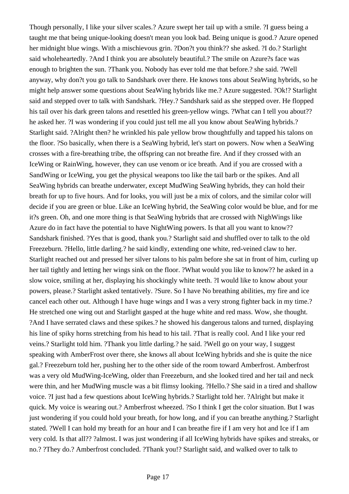Though personally, I like your silver scales.? Azure swept her tail up with a smile. ?I guess being a taught me that being unique-looking doesn't mean you look bad. Being unique is good.? Azure opened her midnight blue wings. With a mischievous grin. ?Don?t you think?? she asked. ?I do.? Starlight said wholeheartedly. ?And I think you are absolutely beautiful.? The smile on Azure?s face was enough to brighten the sun. ?Thank you. Nobody has ever told me that before.? she said. ?Well anyway, why don?t you go talk to Sandshark over there. He knows tons about SeaWing hybrids, so he might help answer some questions about SeaWing hybrids like me.? Azure suggested. ?Ok!? Starlight said and stepped over to talk with Sandshark. ?Hey.? Sandshark said as she stepped over. He flopped his tail over his dark green talons and resettled his green-yellow wings. ?What can I tell you about?? he asked her. ?I was wondering if you could just tell me all you know about SeaWing hybrids.? Starlight said. ?Alright then? he wrinkled his pale yellow brow thoughtfully and tapped his talons on the floor. ?So basically, when there is a SeaWing hybrid, let's start on powers. Now when a SeaWing crosses with a fire-breathing tribe, the offspring can not breathe fire. And if they crossed with an IceWing or RainWing, however, they can use venom or ice breath. And if you are crossed with a SandWing or IceWing, you get the physical weapons too like the tail barb or the spikes. And all SeaWing hybrids can breathe underwater, except MudWing SeaWing hybrids, they can hold their breath for up to five hours. And for looks, you will just be a mix of colors, and the similar color will decide if you are green or blue. Like an IceWing hybrid, the SeaWing color would be blue, and for me it?s green. Oh, and one more thing is that SeaWing hybrids that are crossed with NighWings like Azure do in fact have the potential to have NightWing powers. Is that all you want to know?? Sandshark finished. ?Yes that is good, thank you.? Starlight said and shuffled over to talk to the old Freezeburn. ?Hello, little darling.? he said kindly, extending one white, red-veined claw to her. Starlight reached out and pressed her silver talons to his palm before she sat in front of him, curling up her tail tightly and letting her wings sink on the floor. ?What would you like to know?? he asked in a slow voice, smiling at her, displaying his shockingly white teeth. ?I would like to know about your powers, please.? Starlight asked tentatively. ?Sure. So I have No breathing abilities, my fire and ice cancel each other out. Although I have huge wings and I was a very strong fighter back in my time.? He stretched one wing out and Starlight gasped at the huge white and red mass. Wow, she thought. ?And I have serrated claws and these spikes.? he showed his dangerous talons and turned, displaying his line of spiky horns stretching from his head to his tail. ?That is really cool. And I like your red veins.? Starlight told him. ?Thank you little darling.? he said. ?Well go on your way, I suggest speaking with AmberFrost over there, she knows all about IceWing hybrids and she is quite the nice gal.? Freezeburn told her, pushing her to the other side of the room toward Amberfrost. Amberfrost was a very old MudWing-IceWing, older than Freezeburn, and she looked tired and her tail and neck were thin, and her MudWing muscle was a bit flimsy looking. ?Hello.? She said in a tired and shallow voice. ?I just had a few questions about IceWing hybrids.? Starlight told her. ?Alright but make it quick. My voice is wearing out.? Amberfrost wheezed. ?So I think I get the color situation. But I was just wondering if you could hold your breath, for how long, and if you can breathe anything.? Starlight stated. ?Well I can hold my breath for an hour and I can breathe fire if I am very hot and Ice if I am very cold. Is that all?? ?almost. I was just wondering if all IceWing hybrids have spikes and streaks, or no.? ?They do.? Amberfrost concluded. ?Thank you!? Starlight said, and walked over to talk to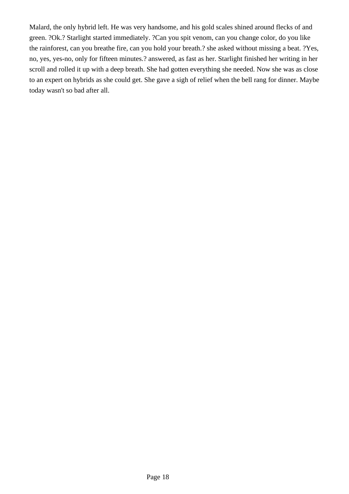Malard, the only hybrid left. He was very handsome, and his gold scales shined around flecks of and green. ?Ok.? Starlight started immediately. ?Can you spit venom, can you change color, do you like the rainforest, can you breathe fire, can you hold your breath.? she asked without missing a beat. ?Yes, no, yes, yes-no, only for fifteen minutes.? answered, as fast as her. Starlight finished her writing in her scroll and rolled it up with a deep breath. She had gotten everything she needed. Now she was as close to an expert on hybrids as she could get. She gave a sigh of relief when the bell rang for dinner. Maybe today wasn't so bad after all.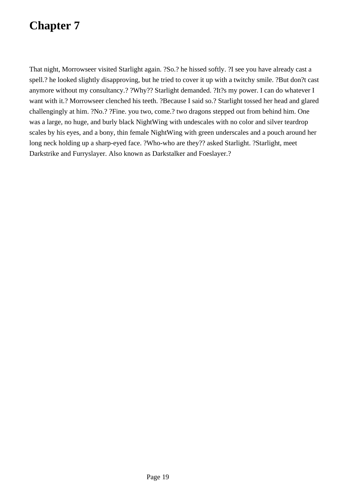That night, Morrowseer visited Starlight again. ?So.? he hissed softly. ?I see you have already cast a spell.? he looked slightly disapproving, but he tried to cover it up with a twitchy smile. ?But don?t cast anymore without my consultancy.? ?Why?? Starlight demanded. ?It?s my power. I can do whatever I want with it.? Morrowseer clenched his teeth. ?Because I said so.? Starlight tossed her head and glared challengingly at him. ?No.? ?Fine. you two, come.? two dragons stepped out from behind him. One was a large, no huge, and burly black NightWing with undescales with no color and silver teardrop scales by his eyes, and a bony, thin female NightWing with green underscales and a pouch around her long neck holding up a sharp-eyed face. ?Who-who are they?? asked Starlight. ?Starlight, meet Darkstrike and Furryslayer. Also known as Darkstalker and Foeslayer.?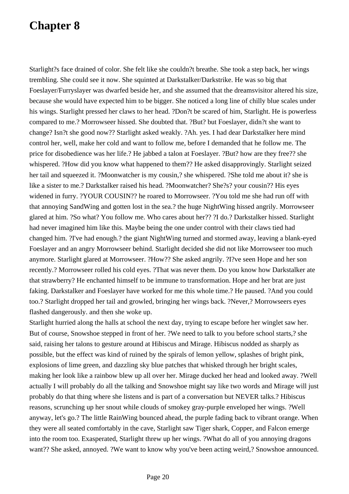Starlight?s face drained of color. She felt like she couldn?t breathe. She took a step back, her wings trembling. She could see it now. She squinted at Darkstalker/Darkstrike. He was so big that Foeslayer/Furryslayer was dwarfed beside her, and she assumed that the dreamsvisitor altered his size, because she would have expected him to be bigger. She noticed a long line of chilly blue scales under his wings. Starlight pressed her claws to her head. ?Don?t be scared of him, Starlight. He is powerless compared to me.? Morrowseer hissed. She doubted that. ?But? but Foeslayer, didn?t she want to change? Isn?t she good now?? Starlight asked weakly. ?Ah. yes. I had dear Darkstalker here mind control her, well, make her cold and want to follow me, before I demanded that he follow me. The price for disobedience was her life.? He jabbed a talon at Foeslayer. ?But? how are they free?? she whispered. ?How did you know what happened to them?? He asked disapprovingly. Starlight seized her tail and squeezed it. ?Moonwatcher is my cousin,? she whispered. ?She told me about it? she is like a sister to me.? Darkstalker raised his head. ?Moonwatcher? She?s? your cousin?? His eyes widened in furry. ?YOUR COUSIN?? he roared to Morrowseer. ?You told me she had run off with that annoying SandWing and gotten lost in the sea.? the huge NightWing hissed angrily. Morrowseer glared at him. ?So what? You follow me. Who cares about her?? ?I do.? Darkstalker hissed. Starlight had never imagined him like this. Maybe being the one under control with their claws tied had changed him. ?I've had enough.? the giant NightWing turned and stormed away, leaving a blank-eyed Foeslayer and an angry Morrowseer behind. Starlight decided she did not like Morrowseer too much anymore. Starlight glared at Morrowseer. ?How?? She asked angrily. ?I?ve seen Hope and her son recently.? Morrowseer rolled his cold eyes. ?That was never them. Do you know how Darkstalker ate that strawberry? He enchanted himself to be immune to transformation. Hope and her brat are just faking. Darkstalker and Foeslayer have worked for me this whole time.? He paused. ?And you could too.? Starlight dropped her tail and growled, bringing her wings back. ?Never,? Morrowseers eyes flashed dangerously. and then she woke up.

Starlight hurried along the halls at school the next day, trying to escape before her winglet saw her. But of course, Snowshoe stepped in front of her. ?We need to talk to you before school starts,? she said, raising her talons to gesture around at Hibiscus and Mirage. Hibiscus nodded as sharply as possible, but the effect was kind of ruined by the spirals of lemon yellow, splashes of bright pink, explosions of lime green, and dazzling sky blue patches that whisked through her bright scales, making her look like a rainbow blew up all over her. Mirage ducked her head and looked away. ?Well actually I will probably do all the talking and Snowshoe might say like two words and Mirage will just probably do that thing where she listens and is part of a conversation but NEVER talks.? Hibiscus reasons, scrunching up her snout while clouds of smokey gray-purple enveloped her wings. ?Well anyway, let's go.? The little RainWing bounced ahead, the purple fading back to vibrant orange. When they were all seated comfortably in the cave, Starlight saw Tiger shark, Copper, and Falcon emerge into the room too. Exasperated, Starlight threw up her wings. ?What do all of you annoying dragons want?? She asked, annoyed. ?We want to know why you've been acting weird,? Snowshoe announced.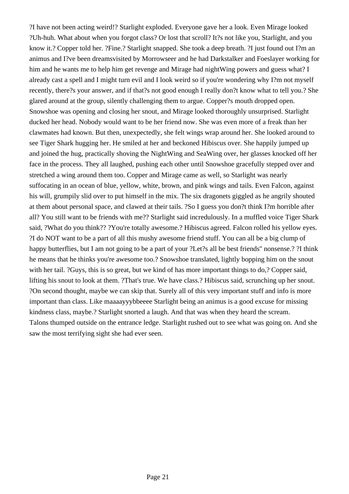?I have not been acting weird!? Starlight exploded. Everyone gave her a look. Even Mirage looked ?Uh-huh. What about when you forgot class? Or lost that scroll? It?s not like you, Starlight, and you know it.? Copper told her. ?Fine.? Starlight snapped. She took a deep breath. ?I just found out I?m an animus and I?ve been dreamsvisited by Morrowseer and he had Darkstalker and Foeslayer working for him and he wants me to help him get revenge and Mirage had nightWing powers and guess what? I already cast a spell and I might turn evil and I look weird so if you're wondering why I?m not myself recently, there?s your answer, and if that?s not good enough I really don?t know what to tell you.? She glared around at the group, silently challenging them to argue. Copper?s mouth dropped open. Snowshoe was opening and closing her snout, and Mirage looked thoroughly unsurprised. Starlight ducked her head. Nobody would want to be her friend now. She was even more of a freak than her clawmates had known. But then, unexpectedly, she felt wings wrap around her. She looked around to see Tiger Shark hugging her. He smiled at her and beckoned Hibiscus over. She happily jumped up and joined the hug, practically shoving the NightWing and SeaWing over, her glasses knocked off her face in the process. They all laughed, pushing each other until Snowshoe gracefully stepped over and stretched a wing around them too. Copper and Mirage came as well, so Starlight was nearly suffocating in an ocean of blue, yellow, white, brown, and pink wings and tails. Even Falcon, against his will, grumpily slid over to put himself in the mix. The six dragonets giggled as he angrily shouted at them about personal space, and clawed at their tails. ?So I guess you don?t think I?m horrible after all? You still want to be friends with me?? Starlight said incredulously. In a muffled voice Tiger Shark said, ?What do you think?? ?You're totally awesome.? Hibiscus agreed. Falcon rolled his yellow eyes. ?I do NOT want to be a part of all this mushy awesome friend stuff. You can all be a big clump of happy butterflies, but I am not going to be a part of your ?Let?s all be best friends'' nonsense.? ?I think he means that he thinks you're awesome too.? Snowshoe translated, lightly bopping him on the snout with her tail. ?Guys, this is so great, but we kind of has more important things to do,? Copper said, lifting his snout to look at them. ?That's true. We have class.? Hibiscus said, scrunching up her snout. ?On second thought, maybe we can skip that. Surely all of this very important stuff and info is more important than class. Like maaaayyybbeeee Starlight being an animus is a good excuse for missing kindness class, maybe.? Starlight snorted a laugh. And that was when they heard the scream. Talons thumped outside on the entrance ledge. Starlight rushed out to see what was going on. And she saw the most terrifying sight she had ever seen.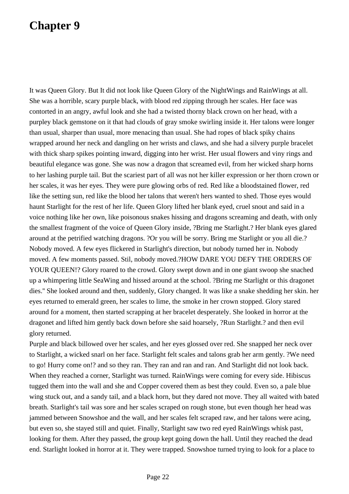It was Queen Glory. But It did not look like Queen Glory of the NightWings and RainWings at all. She was a horrible, scary purple black, with blood red zipping through her scales. Her face was contorted in an angry, awful look and she had a twisted thorny black crown on her head, with a purpley black gemstone on it that had clouds of gray smoke swirling inside it. Her talons were longer than usual, sharper than usual, more menacing than usual. She had ropes of black spiky chains wrapped around her neck and dangling on her wrists and claws, and she had a silvery purple bracelet with thick sharp spikes pointing inward, digging into her wrist. Her usual flowers and viny rings and beautiful elegance was gone. She was now a dragon that screamed evil, from her wicked sharp horns to her lashing purple tail. But the scariest part of all was not her killer expression or her thorn crown or her scales, it was her eyes. They were pure glowing orbs of red. Red like a bloodstained flower, red like the setting sun, red like the blood her talons that weren't hers wanted to shed. Those eyes would haunt Starlight for the rest of her life. Queen Glory lifted her blank eyed, cruel snout and said in a voice nothing like her own, like poisonous snakes hissing and dragons screaming and death, with only the smallest fragment of the voice of Queen Glory inside, ?Bring me Starlight.? Her blank eyes glared around at the petrified watching dragons. ?Or you will be sorry. Bring me Starlight or you all die.? Nobody moved. A few eyes flickered in Starlight's direction, but nobody turned her in. Nobody moved. A few moments passed. Stil, nobody moved.?HOW DARE YOU DEFY THE ORDERS OF YOUR QUEEN!? Glory roared to the crowd. Glory swept down and in one giant swoop she snached up a whimpering little SeaWing and hissed around at the school. ?Bring me Starlight or this dragonet dies.'' She looked around and then, suddenly, Glory changed. It was like a snake shedding her skin. her eyes returned to emerald green, her scales to lime, the smoke in her crown stopped. Glory stared around for a moment, then started scrapping at her bracelet desperately. She looked in horror at the dragonet and lifted him gently back down before she said hoarsely, ?Run Starlight.? and then evil glory returned.

Purple and black billowed over her scales, and her eyes glossed over red. She snapped her neck over to Starlight, a wicked snarl on her face. Starlight felt scales and talons grab her arm gently. ?We need to go! Hurry come on!? and so they ran. They ran and ran and ran. And Starlight did not look back. When they reached a corner, Starlight was turned. RainWings were coming for every side. Hibiscus tugged them into the wall and she and Copper covered them as best they could. Even so, a pale blue wing stuck out, and a sandy tail, and a black horn, but they dared not move. They all waited with bated breath. Starlight's tail was sore and her scales scraped on rough stone, but even though her head was jammed between Snowshoe and the wall, and her scales felt scraped raw, and her talons were acing, but even so, she stayed still and quiet. Finally, Starlight saw two red eyed RainWings whisk past, looking for them. After they passed, the group kept going down the hall. Until they reached the dead end. Starlight looked in horror at it. They were trapped. Snowshoe turned trying to look for a place to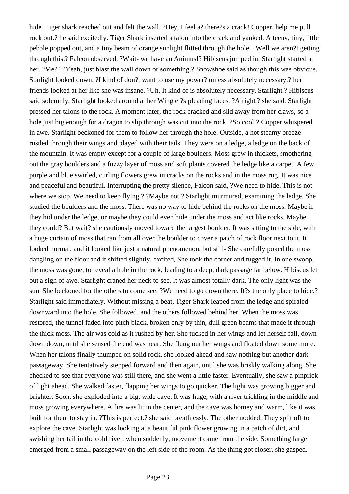hide. Tiger shark reached out and felt the wall. ?Hey, I feel a? there?s a crack! Copper, help me pull rock out.? he said excitedly. Tiger Shark inserted a talon into the crack and yanked. A teeny, tiny, little pebble popped out, and a tiny beam of orange sunlight flitted through the hole. ?Well we aren?t getting through this.? Falcon observed. ?Wait- we have an Animus!? Hibiscus jumped in. Starlight started at her. ?Me?? ?Yeah, just blast the wall down or something.? Snowshoe said as though this was obvious. Starlight looked down. ?I kind of don?t want to use my power? unless absolutely necessary.? her friends looked at her like she was insane. ?Uh, It kind of is absolutely necessary, Starlight.? Hibiscus said solemnly. Starlight looked around at her Winglet?s pleading faces. ?Alright.? she said. Starlight pressed her talons to the rock. A moment later, the rock cracked and slid away from her claws, so a hole just big enough for a dragon to slip through was cut into the rock. ?So cool!? Copper whispered in awe. Starlight beckoned for them to follow her through the hole. Outside, a hot steamy breeze rustled through their wings and played with their tails. They were on a ledge, a ledge on the back of the mountain. It was empty except for a couple of large boulders. Moss grew in thickets, smothering out the gray boulders and a fuzzy layer of moss and soft plants covered the ledge like a carpet. A few purple and blue swirled, curling flowers grew in cracks on the rocks and in the moss rug. It was nice and peaceful and beautiful. Interrupting the pretty silence, Falcon said, ?We need to hide. This is not where we stop. We need to keep flying.? ?Maybe not.? Starlight murmured, examining the ledge. She studied the boulders and the moss. There was no way to hide behind the rocks on the moss. Maybe if they hid under the ledge, or maybe they could even hide under the moss and act like rocks. Maybe they could? But wait? she cautiously moved toward the largest boulder. It was sitting to the side, with a huge curtain of moss that ran from all over the boulder to cover a patch of rock floor next to it. It looked normal, and it looked like just a natural phenomenon, but still- She carefully poked the moss dangling on the floor and it shifted slightly. excited, She took the corner and tugged it. In one swoop, the moss was gone, to reveal a hole in the rock, leading to a deep, dark passage far below. Hibiscus let out a sigh of awe. Starlight craned her neck to see. It was almost totally dark. The only light was the sun. She beckoned for the others to come see. ?We need to go down there. It?s the only place to hide.? Starlight said immediately. Without missing a beat, Tiger Shark leaped from the ledge and spiraled downward into the hole. She followed, and the others followed behind her. When the moss was restored, the tunnel faded into pitch black, broken only by thin, dull green beams that made it through the thick moss. The air was cold as it rushed by her. She tucked in her wings and let herself fall, down down down, until she sensed the end was near. She flung out her wings and floated down some more. When her talons finally thumped on solid rock, she looked ahead and saw nothing but another dark passageway. She tentatively stepped forward and then again, until she was briskly walking along. She checked to see that everyone was still there, and she went a little faster. Eventually, she saw a pinprick of light ahead. She walked faster, flapping her wings to go quicker. The light was growing bigger and brighter. Soon, she exploded into a big, wide cave. It was huge, with a river trickling in the middle and moss growing everywhere. A fire was lit in the center, and the cave was homey and warm, like it was built for them to stay in. ?This is perfect.? she said breathlessly. The other nodded. They split off to explore the cave. Starlight was looking at a beautiful pink flower growing in a patch of dirt, and swishing her tail in the cold river, when suddenly, movement came from the side. Something large emerged from a small passageway on the left side of the room. As the thing got closer, she gasped.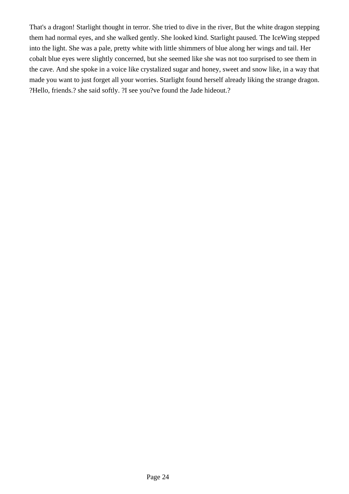That's a dragon! Starlight thought in terror. She tried to dive in the river, But the white dragon stepping them had normal eyes, and she walked gently. She looked kind. Starlight paused. The IceWing stepped into the light. She was a pale, pretty white with little shimmers of blue along her wings and tail. Her cobalt blue eyes were slightly concerned, but she seemed like she was not too surprised to see them in the cave. And she spoke in a voice like crystalized sugar and honey, sweet and snow like, in a way that made you want to just forget all your worries. Starlight found herself already liking the strange dragon. ?Hello, friends.? she said softly. ?I see you?ve found the Jade hideout.?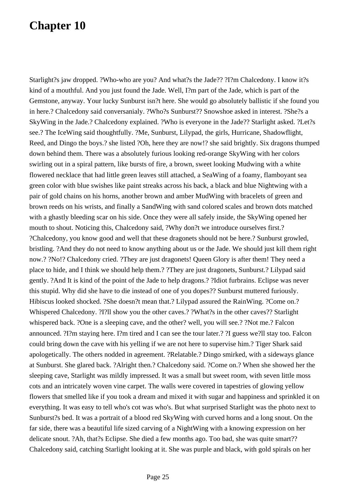Starlight?s jaw dropped. ?Who-who are you? And what?s the Jade?? ?I?m Chalcedony. I know it?s kind of a mouthful. And you just found the Jade. Well, I?m part of the Jade, which is part of the Gemstone, anyway. Your lucky Sunburst isn?t here. She would go absolutely ballistic if she found you in here.? Chalcedony said conversanialy. ?Who?s Sunburst?? Snowshoe asked in interest. ?She?s a SkyWing in the Jade.? Chalcedony explained. ?Who is everyone in the Jade?? Starlight asked. ?Let?s see.? The IceWing said thoughtfully. ?Me, Sunburst, Lilypad, the girls, Hurricane, Shadowflight, Reed, and Dingo the boys.? she listed ?Oh, here they are now!? she said brightly. Six dragons thumped down behind them. There was a absolutely furious looking red-orange SkyWing with her colors swirling out in a spiral pattern, like bursts of fire, a brown, sweet looking Mudwing with a white flowered necklace that had little green leaves still attached, a SeaWing of a foamy, flamboyant sea green color with blue swishes like paint streaks across his back, a black and blue Nightwing with a pair of gold chains on his horns, another brown and amber MudWing with bracelets of green and brown reeds on his wrists, and finally a SandWing with sand colored scales and brown dots matched with a ghastly bleeding scar on his side. Once they were all safely inside, the SkyWing opened her mouth to shout. Noticing this, Chalcedony said, ?Why don?t we introduce ourselves first.? ?Chalcedony, you know good and well that these dragonets should not be here.? Sunburst growled, bristling. ?And they do not need to know anything about us or the Jade. We should just kill them right now.? ?No!? Chalcedony cried. ?They are just dragonets! Queen Glory is after them! They need a place to hide, and I think we should help them.? ?They are just dragonets, Sunburst.? Lilypad said gently. ?And It is kind of the point of the Jade to help dragons.? ?Idiot furbrains. Eclipse was never this stupid. Why did she have to die instead of one of you dopes?? Sunburst muttered furiously. Hibiscus looked shocked. ?She doesn?t mean that.? Lilypad assured the RainWing. ?Come on.? Whispered Chalcedony. ?I?ll show you the other caves.? ?What?s in the other caves?? Starlight whispered back. ?One is a sleeping cave, and the other? well, you will see.? ?Not me.? Falcon announced. ?I?m staying here. I?m tired and I can see the tour later.? ?I guess we?ll stay too. Falcon could bring down the cave with his yelling if we are not here to supervise him.? Tiger Shark said apologetically. The others nodded in agreement. ?Relatable.? Dingo smirked, with a sideways glance at Sunburst. She glared back. ?Alright then.? Chalcedony said. ?Come on.? When she showed her the sleeping cave, Starlight was mildly impressed. It was a small but sweet room, with seven little moss cots and an intricately woven vine carpet. The walls were covered in tapestries of glowing yellow flowers that smelled like if you took a dream and mixed it with sugar and happiness and sprinkled it on everything. It was easy to tell who's cot was who's. But what surprised Starlight was the photo next to Sunburst?s bed. It was a portrait of a blood red SkyWing with curved horns and a long snout. On the far side, there was a beautiful life sized carving of a NightWing with a knowing expression on her delicate snout. ?Ah, that?s Eclipse. She died a few months ago. Too bad, she was quite smart?? Chalcedony said, catching Starlight looking at it. She was purple and black, with gold spirals on her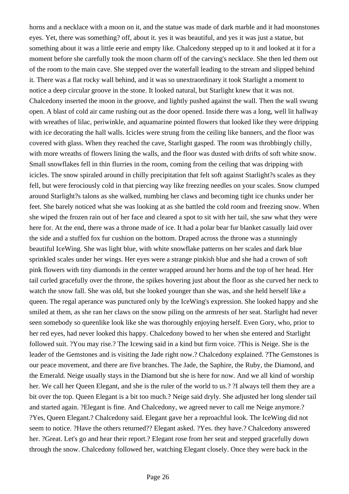horns and a necklace with a moon on it, and the statue was made of dark marble and it had moonstones eyes. Yet, there was something? off, about it. yes it was beautiful, and yes it was just a statue, but something about it was a little eerie and empty like. Chalcedony stepped up to it and looked at it for a moment before she carefully took the moon charm off of the carving's necklace. She then led them out of the room to the main cave. She stepped over the waterfall leading to the stream and slipped behind it. There was a flat rocky wall behind, and it was so unextraordinary it took Starlight a moment to notice a deep circular groove in the stone. It looked natural, but Starlight knew that it was not. Chalcedony inserted the moon in the groove, and lightly pushed against the wall. Then the wall swung open. A blast of cold air came rushing out as the door opened. Inside there was a long, well lit hallway with wreathes of lilac, periwinkle, and aquamarine pointed flowers that looked like they were dripping with ice decorating the hall walls. Icicles were strung from the ceiling like banners, and the floor was covered with glass. When they reached the cave, Starlight gasped. The room was throbbingly chilly, with more wreaths of flowers lining the walls, and the floor was dusted with drifts of soft white snow. Small snowflakes fell in thin flurries in the room, coming from the ceiling that was dripping with icicles. The snow spiraled around in chilly precipitation that felt soft against Starlight?s scales as they fell, but were ferociously cold in that piercing way like freezing needles on your scales. Snow clumped around Starlight?s talons as she walked, numbing her claws and becoming tight ice chunks under her feet. She barely noticed what she was looking at as she battled the cold room and freezing snow. When she wiped the frozen rain out of her face and cleared a spot to sit with her tail, she saw what they were here for. At the end, there was a throne made of ice. It had a polar bear fur blanket casually laid over the side and a stuffed fox fur cushion on the bottom. Draped across the throne was a stunningly beautiful IceWing. She was light blue, with white snowflake patterns on her scales and dark blue sprinkled scales under her wings. Her eyes were a strange pinkish blue and she had a crown of soft pink flowers with tiny diamonds in the center wrapped around her horns and the top of her head. Her tail curled gracefully over the throne, the spikes hovering just about the floor as she curved her neck to watch the snow fall. She was old, but she looked younger than she was, and she held herself like a queen. The regal aperance was punctured only by the IceWing's expression. She looked happy and she smiled at them, as she ran her claws on the snow piling on the armrests of her seat. Starlight had never seen somebody so queenlike look like she was thoroughly enjoying herself. Even Gory, who, prior to her red eyes, had never looked this happy. Chalcedony bowed to her when she entered and Starlight followed suit. ?You may rise.? The Icewing said in a kind but firm voice. ?This is Neige. She is the leader of the Gemstones and is visiting the Jade right now.? Chalcedony explained. ?The Gemstones is our peace movement, and there are five branches. The Jade, the Saphire, the Ruby, the Diamond, and the Emerald. Neige usually stays in the Diamond but she is here for now. And we all kind of worship her. We call her Queen Elegant, and she is the ruler of the world to us.? ?I always tell them they are a bit over the top. Queen Elegant is a bit too much.? Neige said dryly. She adjusted her long slender tail and started again. ?Elegant is fine. And Chalcedony, we agreed never to call me Neige anymore.? ?Yes, Queen Elegant.? Chalcedony said. Elegant gave her a reproachful look. The IceWing did not seem to notice. ?Have the others returned?? Elegant asked. ?Yes. they have.? Chalcedony answered her. ?Great. Let's go and hear their report.? Elegant rose from her seat and stepped gracefully down through the snow. Chalcedony followed her, watching Elegant closely. Once they were back in the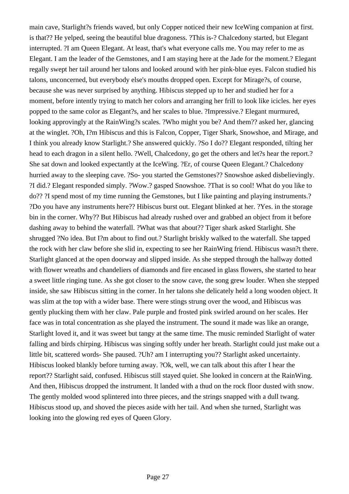main cave, Starlight?s friends waved, but only Copper noticed their new IceWing companion at first. is that?? He yelped, seeing the beautiful blue dragoness. ?This is-? Chalcedony started, but Elegant interrupted. ?I am Queen Elegant. At least, that's what everyone calls me. You may refer to me as Elegant. I am the leader of the Gemstones, and I am staying here at the Jade for the moment.? Elegant regally swept her tail around her talons and looked around with her pink-blue eyes. Falcon studied his talons, unconcerned, but everybody else's mouths dropped open. Except for Mirage?s, of course, because she was never surprised by anything. Hibiscus stepped up to her and studied her for a moment, before intently trying to match her colors and arranging her frill to look like icicles. her eyes popped to the same color as Elegant?s, and her scales to blue. ?Impressive.? Elegant murmured, looking approvingly at the RainWing?s scales. ?Who might you be? And them?? asked her, glancing at the winglet. ?Oh, I?m Hibiscus and this is Falcon, Copper, Tiger Shark, Snowshoe, and Mirage, and I think you already know Starlight.? She answered quickly. ?So I do?? Elegant responded, tilting her head to each dragon in a silent hello. ?Well, Chalcedony, go get the others and let?s hear the report.? She sat down and looked expectantly at the IceWing. ?Er, of course Queen Elegant.? Chalcedony hurried away to the sleeping cave. ?So- you started the Gemstones?? Snowshoe asked disbelievingly. ?I did.? Elegant responded simply. ?Wow.? gasped Snowshoe. ?That is so cool! What do you like to do?? ?I spend most of my time running the Gemstones, but I like painting and playing instruments.? ?Do you have any instruments here?? Hibiscus burst out. Elegant blinked at her. ?Yes. in the storage bin in the corner. Why?? But Hibiscus had already rushed over and grabbed an object from it before dashing away to behind the waterfall. ?What was that about?? Tiger shark asked Starlight. She shrugged ?No idea. But I?m about to find out.? Starlight briskly walked to the waterfall. She tapped the rock with her claw before she slid in, expecting to see her RainWing friend. Hibiscus wasn?t there. Starlight glanced at the open doorway and slipped inside. As she stepped through the hallway dotted with flower wreaths and chandeliers of diamonds and fire encased in glass flowers, she started to hear a sweet little ringing tune. As she got closer to the snow cave, the song grew louder. When she stepped inside, she saw Hibiscus sitting in the corner. In her talons she delicately held a long wooden object. It was slim at the top with a wider base. There were stings strung over the wood, and Hibiscus was gently plucking them with her claw. Pale purple and frosted pink swirled around on her scales. Her face was in total concentration as she played the instrument. The sound it made was like an orange, Starlight loved it, and it was sweet but tangy at the same time. The music reminded Starlight of water falling and birds chirping. Hibiscus was singing softly under her breath. Starlight could just make out a little bit, scattered words- She paused. ?Uh? am I interrupting you?? Starlight asked uncertainty. Hibiscus looked blankly before turning away. ?Ok, well, we can talk about this after I hear the report?? Starlight said, confused. Hibiscus still stayed quiet. She looked in concern at the RainWing. And then, Hibiscus dropped the instrument. It landed with a thud on the rock floor dusted with snow. The gently molded wood splintered into three pieces, and the strings snapped with a dull twang. Hibiscus stood up, and shoved the pieces aside with her tail. And when she turned, Starlight was looking into the glowing red eyes of Queen Glory.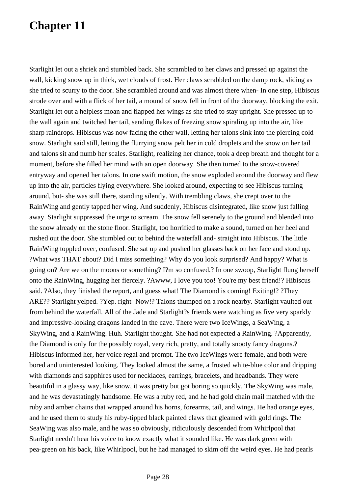Starlight let out a shriek and stumbled back. She scrambled to her claws and pressed up against the wall, kicking snow up in thick, wet clouds of frost. Her claws scrabbled on the damp rock, sliding as she tried to scurry to the door. She scrambled around and was almost there when- In one step, Hibiscus strode over and with a flick of her tail, a mound of snow fell in front of the doorway, blocking the exit. Starlight let out a helpless moan and flapped her wings as she tried to stay upright. She pressed up to the wall again and twitched her tail, sending flakes of freezing snow spiraling up into the air, like sharp raindrops. Hibiscus was now facing the other wall, letting her talons sink into the piercing cold snow. Starlight said still, letting the flurrying snow pelt her in cold droplets and the snow on her tail and talons sit and numb her scales. Starlight, realizing her chance, took a deep breath and thought for a moment, before she filled her mind with an open doorway. She then turned to the snow-covered entryway and opened her talons. In one swift motion, the snow exploded around the doorway and flew up into the air, particles flying everywhere. She looked around, expecting to see Hibiscus turning around, but- she was still there, standing silently. With trembling claws, she crept over to the RainWing and gently tapped her wing. And suddenly, Hibiscus disintegrated, like snow just falling away. Starlight suppressed the urge to scream. The snow fell serenely to the ground and blended into the snow already on the stone floor. Starlight, too horrified to make a sound, turned on her heel and rushed out the door. She stumbled out to behind the waterfall and- straight into Hibiscus. The little RainWing toppled over, confused. She sat up and pushed her glasses back on her face and stood up. ?What was THAT about? Did I miss something? Why do you look surprised? And happy? What is going on? Are we on the moons or something? I?m so confused.? In one swoop, Starlight flung herself onto the RainWing, hugging her fiercely. ?Awww, I love you too! You're my best friend!? Hibiscus said. ?Also, they finished the report, and guess what! The Diamond is coming! Exiting!? ?They ARE?? Starlight yelped. ?Yep. right- Now!? Talons thumped on a rock nearby. Starlight vaulted out from behind the waterfall. All of the Jade and Starlight?s friends were watching as five very sparkly and impressive-looking dragons landed in the cave. There were two IceWings, a SeaWing, a SkyWing, and a RainWing. Huh. Starlight thought. She had not expected a RainWing. ?Apparently, the Diamond is only for the possibly royal, very rich, pretty, and totally snooty fancy dragons.? Hibiscus informed her, her voice regal and prompt. The two IceWings were female, and both were bored and uninterested looking. They looked almost the same, a frosted white-blue color and dripping with diamonds and sapphires used for necklaces, earrings, bracelets, and headbands. They were beautiful in a glassy way, like snow, it was pretty but got boring so quickly. The SkyWing was male, and he was devastatingly handsome. He was a ruby red, and he had gold chain mail matched with the ruby and amber chains that wrapped around his horns, forearms, tail, and wings. He had orange eyes, and he used them to study his ruby-tipped black painted claws that gleamed with gold rings. The SeaWing was also male, and he was so obviously, ridiculously descended from Whirlpool that Starlight needn't hear his voice to know exactly what it sounded like. He was dark green with pea-green on his back, like Whirlpool, but he had managed to skim off the weird eyes. He had pearls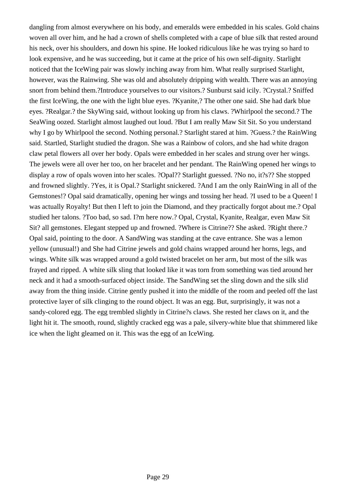dangling from almost everywhere on his body, and emeralds were embedded in his scales. Gold chains woven all over him, and he had a crown of shells completed with a cape of blue silk that rested around his neck, over his shoulders, and down his spine. He looked ridiculous like he was trying so hard to look expensive, and he was succeeding, but it came at the price of his own self-dignity. Starlight noticed that the IceWing pair was slowly inching away from him. What really surprised Starlight, however, was the Rainwing. She was old and absolutely dripping with wealth. There was an annoying snort from behind them.?Introduce yourselves to our visitors.? Sunburst said icily. ?Crystal.? Sniffed the first IceWing, the one with the light blue eyes. ?Kyanite,? The other one said. She had dark blue eyes. ?Realgar.? the SkyWing said, without looking up from his claws. ?Whirlpool the second.? The SeaWing oozed. Starlight almost laughed out loud. ?But I am really Maw Sit Sit. So you understand why I go by Whirlpool the second. Nothing personal.? Starlight stared at him. ?Guess.? the RainWing said. Startled, Starlight studied the dragon. She was a Rainbow of colors, and she had white dragon claw petal flowers all over her body. Opals were embedded in her scales and strung over her wings. The jewels were all over her too, on her bracelet and her pendant. The RainWing opened her wings to display a row of opals woven into her scales. ?Opal?? Starlight guessed. ?No no, it?s?? She stopped and frowned slightly. ?Yes, it is Opal.? Starlight snickered. ?And I am the only RainWing in all of the Gemstones!? Opal said dramatically, opening her wings and tossing her head. ?I used to be a Queen! I was actually Royalty! But then I left to join the Diamond, and they practically forgot about me.? Opal studied her talons. ?Too bad, so sad. I?m here now.? Opal, Crystal, Kyanite, Realgar, even Maw Sit Sit? all gemstones. Elegant stepped up and frowned. ?Where is Citrine?? She asked. ?Right there.? Opal said, pointing to the door. A SandWing was standing at the cave entrance. She was a lemon yellow (unusual!) and She had Citrine jewels and gold chains wrapped around her horns, legs, and wings. White silk was wrapped around a gold twisted bracelet on her arm, but most of the silk was frayed and ripped. A white silk sling that looked like it was torn from something was tied around her neck and it had a smooth-surfaced object inside. The SandWing set the sling down and the silk slid away from the thing inside. Citrine gently pushed it into the middle of the room and peeled off the last protective layer of silk clinging to the round object. It was an egg. But, surprisingly, it was not a sandy-colored egg. The egg trembled slightly in Citrine?s claws. She rested her claws on it, and the light hit it. The smooth, round, slightly cracked egg was a pale, silvery-white blue that shimmered like ice when the light gleamed on it. This was the egg of an IceWing.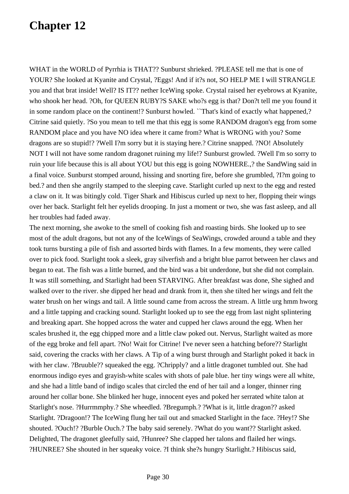WHAT in the WORLD of Pyrrhia is THAT?? Sunburst shrieked. ?PLEASE tell me that is one of YOUR? She looked at Kyanite and Crystal, ?Eggs! And if it?s not, SO HELP ME I will STRANGLE you and that brat inside! Well? IS IT?? nether IceWing spoke. Crystal raised her eyebrows at Kyanite, who shook her head. ?Oh, for QUEEN RUBY?S SAKE who?s egg is that? Don?t tell me you found it in some random place on the continent!? Sunburst howled. ``That's kind of exactly what happened,? Citrine said quietly. ?So you mean to tell me that this egg is some RANDOM dragon's egg from some RANDOM place and you have NO idea where it came from? What is WRONG with you? Some dragons are so stupid!? ?Well I?m sorry but it is staying here.? Citrine snapped. ?NO! Absolutely NOT I will not have some random dragonet ruining my life!? Sunburst growled. ?Well I'm so sorry to ruin your life because this is all about YOU but this egg is going NOWHERE.,? the SandWing said in a final voice. Sunburst stomped around, hissing and snorting fire, before she grumbled, ?I?m going to bed.? and then she angrily stamped to the sleeping cave. Starlight curled up next to the egg and rested a claw on it. It was bitingly cold. Tiger Shark and Hibiscus curled up next to her, flopping their wings over her back. Starlight felt her eyelids drooping. In just a moment or two, she was fast asleep, and all her troubles had faded away.

The next morning, she awoke to the smell of cooking fish and roasting birds. She looked up to see most of the adult dragons, but not any of the IceWings of SeaWings, crowded around a table and they took turns bursting a pile of fish and assorted birds with flames. In a few moments, they were called over to pick food. Starlight took a sleek, gray silverfish and a bright blue parrot between her claws and began to eat. The fish was a little burned, and the bird was a bit underdone, but she did not complain. It was still something, and Starlight had been STARVING. After breakfast was done, She sighed and walked over to the river. she dipped her head and drank from it, then she tilted her wings and felt the water brush on her wings and tail. A little sound came from across the stream. A little urg hmm hworg and a little tapping and cracking sound. Starlight looked up to see the egg from last night splintering and breaking apart. She hopped across the water and cupped her claws around the egg. When her scales brushed it, the egg chipped more and a little claw poked out. Nervus, Starlight waited as more of the egg broke and fell apart. ?No! Wait for Citrine! I've never seen a hatching before?? Starlight said, covering the cracks with her claws. A Tip of a wing burst through and Starlight poked it back in with her claw. ?Bruuble?? squeaked the egg. ?Chripply? and a little dragonet tumbled out. She had enormous indigo eyes and grayish-white scales with shots of pale blue. her tiny wings were all white, and she had a little band of indigo scales that circled the end of her tail and a longer, thinner ring around her collar bone. She blinked her huge, innocent eyes and poked her serrated white talon at Starlight's nose. ?Hurrmmphy.? She wheedled. ?Bregumph.? ?What is it, little dragon?? asked Starlight. ?Dragoon!? The IceWing flung her tail out and smacked Starlight in the face. ?Hey!? She shouted. ?Ouch!? ?Burble Ouch.? The baby said serenely. ?What do you want?? Starlight asked. Delighted, The dragonet gleefully said, ?Hunree? She clapped her talons and flailed her wings. ?HUNREE? She shouted in her squeaky voice. ?I think she?s hungry Starlight.? Hibiscus said,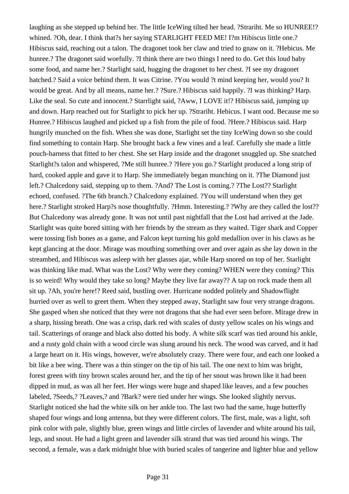laughing as she stepped up behind her. The little IceWing tilted her head. ?Strariht. Me so HUNREE!? whined. ?Oh, dear. I think that?s her saying STARLIGHT FEED ME! I?m Hibiscus little one.? Hibiscus said, reaching out a talon. The dragonet took her claw and tried to gnaw on it. ?Hebicus. Me hunree.? The dragonet said woefully. ?I think there are two things I need to do. Get this loud baby some food, and name her.? Starlight said, hugging the dragonet to her chest. ?I see my dragonet hatched.? Said a voice behind them. It was Citrine. ?You would ?t mind keeping her, would you? It would be great. And by all means, name her.? ?Sure.? Hibiscus said happily. ?I was thinking? Harp. Like the seal. So cute and innocent.? Starrlight said, ?Aww, I LOVE it!? Hibiscus said, jumping up and down. Harp reached out for Starlight to pick her up. ?Strariht. Hebicus. I want ood. Because me so Hunree.? Hibiscus laughed and picked up a fish from the pile of food. ?Here.? Hibiscus said. Harp hungrily munched on the fish. When she was done, Starlight set the tiny IceWing down so she could find something to contain Harp. She brought back a few vines and a leaf. Carefully she made a little pouch-harness that fitted to her chest. She set Harp inside and the dragonet snuggled up. She snatched Starlight?s talon and whispered, ?Me still hunree.? ?Here you go.? Starlight produced a long strip of hard, cooked apple and gave it to Harp. She immediately began munching on it. ?The Diamond just left.? Chalcedony said, stepping up to them. ?And? The Lost is coming.? ?The Lost?? Starlight echoed, confused. ?The 6th branch.? Chalcedony explained. ?You will understand when they get here.? Starlight stroked Harp?s nose thoughtfully. ?Hmm. Interesting.? ?Why are they called the lost?? But Chalcedony was already gone. It was not until past nightfall that the Lost had arrived at the Jade. Starlight was quite bored sitting with her friends by the stream as they waited. Tiger shark and Copper were tossing fish bones as a game, and Falcon kept turning his gold medallion over in his claws as he kept glancing at the door. Mirage was mouthing something over and over again as she lay down in the streambed, and Hibiscus was asleep with her glasses ajar, while Harp snored on top of her. Starlight was thinking like mad. What was the Lost? Why were they coming? WHEN were they coming? This is so weird! Why would they take so long? Maybe they live far away?? A tap on rock made them all sit up. ?Ah, you're here!? Reed said, bustling over. Hurricane nodded politely and Shadowflight hurried over as well to greet them. When they stepped away, Starlight saw four very strange dragons. She gasped when she noticed that they were not dragons that she had ever seen before. Mirage drew in a sharp, hissing breath. One was a crisp, dark red with scales of dusty yellow scales on his wings and tail. Scatterings of orange and black also dotted his body. A white silk scarf was tied around his ankle, and a rusty gold chain with a wood circle was slung around his neck. The wood was carved, and it had a large heart on it. His wings, however, we're absolutely crazy. There were four, and each one looked a bit like a bee wing. There was a thin stinger on the tip of his tail. The one next to him was bright, forest green with tiny brown scales around her, and the tip of her snout was brown like it had been dipped in mud, as was all her feet. Her wings were huge and shaped like leaves, and a few pouches labeled, ?Seeds,? ?Leaves,? and ?Bark? were tied under her wings. She looked slightly nervus. Starlight noticed she had the white silk on her ankle too. The last two had the same, huge butterfly shaped four wings and long antenna, but they were different colors. The first, male, was a light, soft pink color with pale, slightly blue, green wings and little circles of lavender and white around his tail, legs, and snout. He had a light green and lavender silk strand that was tied around his wings. The second, a female, was a dark midnight blue with buried scales of tangerine and lighter blue and yellow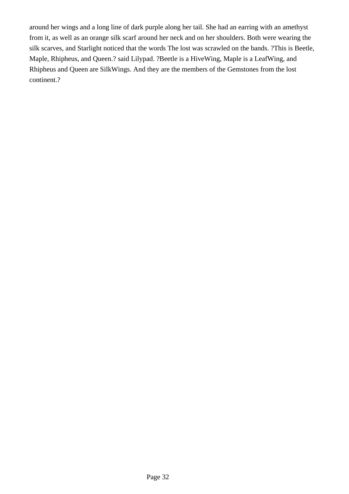around her wings and a long line of dark purple along her tail. She had an earring with an amethyst from it, as well as an orange silk scarf around her neck and on her shoulders. Both were wearing the silk scarves, and Starlight noticed that the words The lost was scrawled on the bands. ?This is Beetle, Maple, Rhipheus, and Queen.? said Lilypad. ?Beetle is a HiveWing, Maple is a LeafWing, and Rhipheus and Queen are SilkWings. And they are the members of the Gemstones from the lost continent.?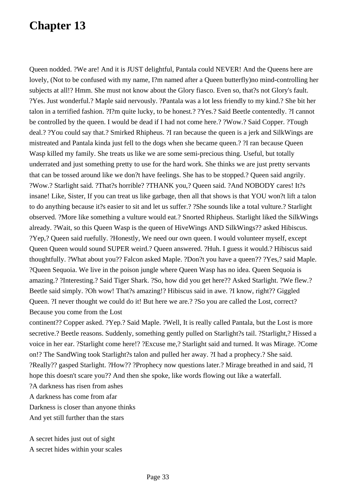Queen nodded. ?We are! And it is JUST delightful, Pantala could NEVER! And the Queens here are lovely, (Not to be confused with my name, I?m named after a Queen butterfly)no mind-controlling her subjects at all!? Hmm. She must not know about the Glory fiasco. Even so, that?s not Glory's fault. ?Yes. Just wonderful.? Maple said nervously. ?Pantala was a lot less friendly to my kind.? She bit her talon in a terrified fashion. ?I?m quite lucky, to be honest.? ?Yes.? Said Beetle contentedly. ?I cannot be controlled by the queen. I would be dead if I had not come here.? ?Wow.? Said Copper. ?Tough deal.? ?You could say that.? Smirked Rhipheus. ?I ran because the queen is a jerk and SilkWings are mistreated and Pantala kinda just fell to the dogs when she became queen.? ?I ran because Queen Wasp killed my family. She treats us like we are some semi-precious thing. Useful, but totally underrated and just something pretty to use for the hard work. She thinks we are just pretty servants that can be tossed around like we don?t have feelings. She has to be stopped.? Queen said angrily. ?Wow.? Starlight said. ?That?s horrible? ?THANK you,? Queen said. ?And NOBODY cares! It?s insane! Like, Sister, If you can treat us like garbage, then all that shows is that YOU won?t lift a talon to do anything because it?s easier to sit and let us suffer.? ?She sounds like a total vulture.? Starlight observed. ?More like something a vulture would eat.? Snorted Rhipheus. Starlight liked the SilkWings already. ?Wait, so this Queen Wasp is the queen of HiveWings AND SilkWings?? asked Hibiscus. ?Yep,? Queen said ruefully. ?Honestly, We need our own queen. I would volunteer myself, except Queen Queen would sound SUPER weird.? Queen answered. ?Huh. I guess it would.? Hibiscus said thoughtfully. ?What about you?? Falcon asked Maple. ?Don?t you have a queen?? ?Yes,? said Maple. ?Queen Sequoia. We live in the poison jungle where Queen Wasp has no idea. Queen Sequoia is amazing.? ?Interesting.? Said Tiger Shark. ?So, how did you get here?? Asked Starlight. ?We flew.? Beetle said simply. ?Oh wow! That?s amazing!? Hibiscus said in awe. ?I know, right?? Giggled Queen. ?I never thought we could do it! But here we are.? ?So you are called the Lost, correct? Because you come from the Lost

continent?? Copper asked. ?Yep.? Said Maple. ?Well, It is really called Pantala, but the Lost is more secretive.? Beetle reasons. Suddenly, something gently pulled on Starlight?s tail. ?Starlight,? Hissed a voice in her ear. ?Starlight come here!? ?Excuse me,? Starlight said and turned. It was Mirage. ?Come on!? The SandWing took Starlight?s talon and pulled her away. ?I had a prophecy.? She said. ?Really?? gasped Starlight. ?How?? ?Prophecy now questions later.? Mirage breathed in and said, ?I hope this doesn't scare you?? And then she spoke, like words flowing out like a waterfall.

?A darkness has risen from ashes

A darkness has come from afar

Darkness is closer than anyone thinks

And yet still further than the stars

A secret hides just out of sight A secret hides within your scales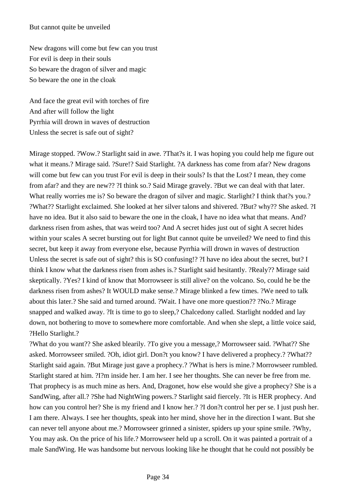#### But cannot quite be unveiled

New dragons will come but few can you trust For evil is deep in their souls So beware the dragon of silver and magic So beware the one in the cloak

And face the great evil with torches of fire And after will follow the light Pyrrhia will drown in waves of destruction Unless the secret is safe out of sight?

Mirage stopped. ?Wow.? Starlight said in awe. ?That?s it. I was hoping you could help me figure out what it means.? Mirage said. ?Sure!? Said Starlight. ?A darkness has come from afar? New dragons will come but few can you trust For evil is deep in their souls? Is that the Lost? I mean, they come from afar? and they are new?? ?I think so.? Said Mirage gravely. ?But we can deal with that later. What really worries me is? So beware the dragon of silver and magic. Starlight? I think that?s you.? ?What?? Starlight exclaimed. She looked at her silver talons and shivered. ?But? why?? She asked. ?I have no idea. But it also said to beware the one in the cloak, I have no idea what that means. And? darkness risen from ashes, that was weird too? And A secret hides just out of sight A secret hides within your scales A secret bursting out for light But cannot quite be unveiled? We need to find this secret, but keep it away from everyone else, because Pyrrhia will drown in waves of destruction Unless the secret is safe out of sight? this is SO confusing!? ?I have no idea about the secret, but? I think I know what the darkness risen from ashes is.? Starlight said hesitantly. ?Realy?? Mirage said skeptically. ?Yes? I kind of know that Morrowseer is still alive? on the volcano. So, could he be the darkness risen from ashes? It WOULD make sense.? Mirage blinked a few times. ?We need to talk about this later.? She said and turned around. ?Wait. I have one more question?? ?No.? Mirage snapped and walked away. ?It is time to go to sleep,? Chalcedony called. Starlight nodded and lay down, not bothering to move to somewhere more comfortable. And when she slept, a little voice said, ?Hello Starlight.?

?What do you want?? She asked blearily. ?To give you a message,? Morrowseer said. ?What?? She asked. Morrowseer smiled. ?Oh, idiot girl. Don?t you know? I have delivered a prophecy.? ?What?? Starlight said again. ?But Mirage just gave a prophecy.? ?What is hers is mine.? Morrowseer rumbled. Starlight stared at him. ?I?m inside her. I am her. I see her thoughts. She can never be free from me. That prophecy is as much mine as hers. And, Dragonet, how else would she give a prophecy? She is a SandWing, after all.? ?She had NightWing powers.? Starlight said fiercely. ?It is HER prophecy. And how can you control her? She is my friend and I know her.? ?I don?t control her per se. I just push her. I am there. Always. I see her thoughts, speak into her mind, shove her in the direction I want. But she can never tell anyone about me.? Morrowseer grinned a sinister, spiders up your spine smile. ?Why, You may ask. On the price of his life.? Morrowseer held up a scroll. On it was painted a portrait of a male SandWing. He was handsome but nervous looking like he thought that he could not possibly be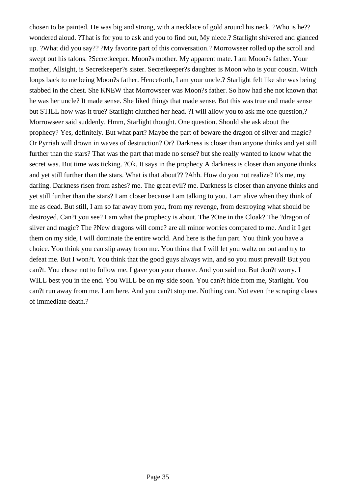chosen to be painted. He was big and strong, with a necklace of gold around his neck. ?Who is he?? wondered aloud. ?That is for you to ask and you to find out, My niece.? Starlight shivered and glanced up. ?What did you say?? ?My favorite part of this conversation.? Morrowseer rolled up the scroll and swept out his talons. ?Secretkeeper. Moon?s mother. My apparent mate. I am Moon?s father. Your mother, Allsight, is Secretkeeper?s sister. Secretkeeper?s daughter is Moon who is your cousin. Witch loops back to me being Moon?s father. Henceforth, I am your uncle.? Starlight felt like she was being stabbed in the chest. She KNEW that Morrowseer was Moon?s father. So how had she not known that he was her uncle? It made sense. She liked things that made sense. But this was true and made sense but STILL how was it true? Starlight clutched her head. ?I will allow you to ask me one question,? Morrowseer said suddenly. Hmm, Starlight thought. One question. Should she ask about the prophecy? Yes, definitely. But what part? Maybe the part of beware the dragon of silver and magic? Or Pyrriah will drown in waves of destruction? Or? Darkness is closer than anyone thinks and yet still further than the stars? That was the part that made no sense? but she really wanted to know what the secret was. But time was ticking. ?Ok. It says in the prophecy A darkness is closer than anyone thinks and yet still further than the stars. What is that about?? ?Ahh. How do you not realize? It's me, my darling. Darkness risen from ashes? me. The great evil? me. Darkness is closer than anyone thinks and yet still further than the stars? I am closer because I am talking to you. I am alive when they think of me as dead. But still, I am so far away from you, from my revenge, from destroying what should be destroyed. Can?t you see? I am what the prophecy is about. The ?One in the Cloak? The ?dragon of silver and magic? The ?New dragons will come? are all minor worries compared to me. And if I get them on my side, I will dominate the entire world. And here is the fun part. You think you have a choice. You think you can slip away from me. You think that I will let you waltz on out and try to defeat me. But I won?t. You think that the good guys always win, and so you must prevail! But you can?t. You chose not to follow me. I gave you your chance. And you said no. But don?t worry. I WILL best you in the end. You WILL be on my side soon. You can?t hide from me, Starlight. You can?t run away from me. I am here. And you can?t stop me. Nothing can. Not even the scraping claws of immediate death.?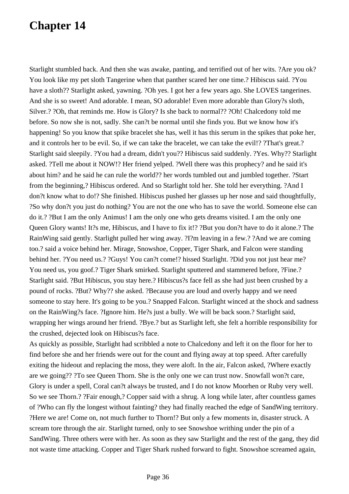Starlight stumbled back. And then she was awake, panting, and terrified out of her wits. ?Are you ok? You look like my pet sloth Tangerine when that panther scared her one time.? Hibiscus said. ?You have a sloth?? Starlight asked, yawning. ?Oh yes. I got her a few years ago. She LOVES tangerines. And she is so sweet! And adorable. I mean, SO adorable! Even more adorable than Glory?s sloth, Silver.? ?Oh, that reminds me. How is Glory? Is she back to normal?? ?Oh! Chalcedony told me before. So now she is not, sadly. She can?t be normal until she finds you. But we know how it's happening! So you know that spike bracelet she has, well it has this serum in the spikes that poke her, and it controls her to be evil. So, if we can take the bracelet, we can take the evil!? ?That's great.? Starlight said sleepily. ?You had a dream, didn't you?? Hibiscus said suddenly. ?Yes. Why?? Starlight asked. ?Tell me about it NOW!? Her friend yelped. ?Well there was this prophecy? and he said it's about him? and he said he can rule the world?? her words tumbled out and jumbled together. ?Start from the beginning,? Hibiscus ordered. And so Starlight told her. She told her everything. ?And I don?t know what to do!? She finished. Hibiscus pushed her glasses up her nose and said thoughtfully, ?So why don?t you just do nothing? You are not the one who has to save the world. Someone else can do it.? ?But I am the only Animus! I am the only one who gets dreams visited. I am the only one Queen Glory wants! It?s me, Hibiscus, and I have to fix it!? ?But you don?t have to do it alone.? The RainWing said gently. Starlight pulled her wing away. ?I?m leaving in a few.? ?And we are coming too.? said a voice behind her. Mirage, Snowshoe, Copper, Tiger Shark, and Falcon were standing behind her. ?You need us.? ?Guys! You can?t come!? hissed Starlight. ?Did you not just hear me? You need us, you goof.? Tiger Shark smirked. Starlight sputtered and stammered before, ?Fine.? Starlight said. ?But Hibiscus, you stay here.? Hibiscus?s face fell as she had just been crushed by a pound of rocks. ?But? Why?? she asked. ?Because you are loud and overly happy and we need someone to stay here. It's going to be you.? Snapped Falcon. Starlight winced at the shock and sadness on the RainWing?s face. ?Ignore him. He?s just a bully. We will be back soon.? Starlight said, wrapping her wings around her friend. ?Bye.? but as Starlight left, she felt a horrible responsibility for the crushed, dejected look on Hibiscus?s face.

As quickly as possible, Starlight had scribbled a note to Chalcedony and left it on the floor for her to find before she and her friends were out for the count and flying away at top speed. After carefully exiting the hideout and replacing the moss, they were aloft. In the air, Falcon asked, ?Where exactly are we going?? ?To see Queen Thorn. She is the only one we can trust now. Snowfall won?t care, Glory is under a spell, Coral can?t always be trusted, and I do not know Moorhen or Ruby very well. So we see Thorn.? ?Fair enough,? Copper said with a shrug. A long while later, after countless games of ?Who can fly the longest without fainting? they had finally reached the edge of SandWing territory. ?Here we are! Come on, not much further to Thorn!? But only a few moments in, disaster struck. A scream tore through the air. Starlight turned, only to see Snowshoe writhing under the pin of a SandWing. Three others were with her. As soon as they saw Starlight and the rest of the gang, they did not waste time attacking. Copper and Tiger Shark rushed forward to fight. Snowshoe screamed again,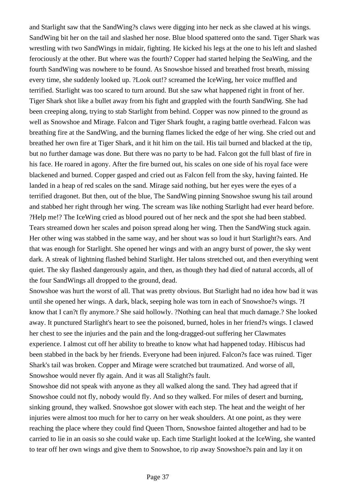and Starlight saw that the SandWing?s claws were digging into her neck as she clawed at his wings. SandWing bit her on the tail and slashed her nose. Blue blood spattered onto the sand. Tiger Shark was wrestling with two SandWings in midair, fighting. He kicked his legs at the one to his left and slashed ferociously at the other. But where was the fourth? Copper had started helping the SeaWing, and the fourth SandWing was nowhere to be found. As Snowshoe hissed and breathed frost breath, missing every time, she suddenly looked up. ?Look out!? screamed the IceWing, her voice muffled and terrified. Starlight was too scared to turn around. But she saw what happened right in front of her. Tiger Shark shot like a bullet away from his fight and grappled with the fourth SandWing. She had been creeping along, trying to stab Starlight from behind. Copper was now pinned to the ground as well as Snowshoe and Mirage. Falcon and Tiger Shark fought, a raging battle overhead. Falcon was breathing fire at the SandWing, and the burning flames licked the edge of her wing. She cried out and breathed her own fire at Tiger Shark, and it hit him on the tail. His tail burned and blacked at the tip, but no further damage was done. But there was no party to be had. Falcon got the full blast of fire in his face. He roared in agony. After the fire burned out, his scales on one side of his royal face were blackened and burned. Copper gasped and cried out as Falcon fell from the sky, having fainted. He landed in a heap of red scales on the sand. Mirage said nothing, but her eyes were the eyes of a terrified dragonet. But then, out of the blue, The SandWing pinning Snowshoe swung his tail around and stabbed her right through her wing. The scream was like nothing Starlight had ever heard before. ?Help me!? The IceWing cried as blood poured out of her neck and the spot she had been stabbed. Tears streamed down her scales and poison spread along her wing. Then the SandWing stuck again. Her other wing was stabbed in the same way, and her shout was so loud it hurt Starlight?s ears. And that was enough for Starlight. She opened her wings and with an angry burst of power, the sky went dark. A streak of lightning flashed behind Starlight. Her talons stretched out, and then everything went quiet. The sky flashed dangerously again, and then, as though they had died of natural accords, all of the four SandWings all dropped to the ground, dead.

Snowshoe was hurt the worst of all. That was pretty obvious. But Starlight had no idea how bad it was until she opened her wings. A dark, black, seeping hole was torn in each of Snowshoe?s wings. ?I know that I can?t fly anymore.? She said hollowly. ?Nothing can heal that much damage.? She looked away. It punctured Starlight's heart to see the poisoned, burned, holes in her friend?s wings. I clawed her chest to see the injuries and the pain and the long-dragged-out suffering her Clawmates experience. I almost cut off her ability to breathe to know what had happened today. Hibiscus had been stabbed in the back by her friends. Everyone had been injured. Falcon?s face was ruined. Tiger Shark's tail was broken. Copper and Mirage were scratched but traumatized. And worse of all, Snowshoe would never fly again. And it was all Stalight?s fault.

Snowshoe did not speak with anyone as they all walked along the sand. They had agreed that if Snowshoe could not fly, nobody would fly. And so they walked. For miles of desert and burning, sinking ground, they walked. Snowshoe got slower with each step. The heat and the weight of her injuries were almost too much for her to carry on her weak shoulders. At one point, as they were reaching the place where they could find Queen Thorn, Snowshoe fainted altogether and had to be carried to lie in an oasis so she could wake up. Each time Starlight looked at the IceWing, she wanted to tear off her own wings and give them to Snowshoe, to rip away Snowshoe?s pain and lay it on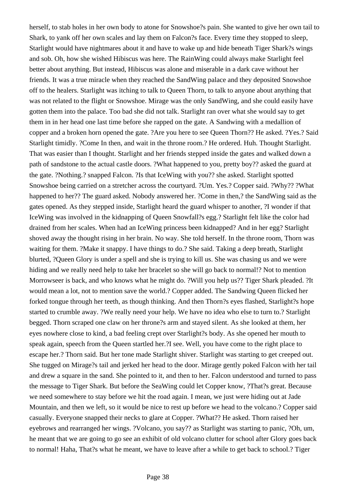herself, to stab holes in her own body to atone for Snowshoe?s pain. She wanted to give her own tail to Shark, to yank off her own scales and lay them on Falcon?s face. Every time they stopped to sleep, Starlight would have nightmares about it and have to wake up and hide beneath Tiger Shark?s wings and sob. Oh, how she wished Hibiscus was here. The RainWing could always make Starlight feel better about anything. But instead, Hibiscus was alone and miserable in a dark cave without her friends. It was a true miracle when they reached the SandWing palace and they deposited Snowshoe off to the healers. Starlight was itching to talk to Queen Thorn, to talk to anyone about anything that was not related to the flight or Snowshoe. Mirage was the only SandWing, and she could easily have gotten them into the palace. Too bad she did not talk. Starlight ran over what she would say to get them in in her head one last time before she rapped on the gate. A Sandwing with a medallion of copper and a broken horn opened the gate. ?Are you here to see Queen Thorn?? He asked. ?Yes.? Said Starlight timidly. ?Come In then, and wait in the throne room.? He ordered. Huh. Thought Starlight. That was easier than I thought. Starlight and her friends stepped inside the gates and walked down a path of sandstone to the actual castle doors. ?What happened to you, pretty boy?? asked the guard at the gate. ?Nothing.? snapped Falcon. ?Is that IceWing with you?? she asked. Starlight spotted Snowshoe being carried on a stretcher across the courtyard. ?Um. Yes.? Copper said. ?Why?? ?What happened to her?? The guard asked. Nobody answered her. ?Come in then,? the SandWing said as the gates opened. As they stepped inside, Starlight heard the guard whisper to another, ?I wonder if that IceWing was involved in the kidnapping of Queen Snowfall?s egg.? Starlight felt like the color had drained from her scales. When had an IceWing princess been kidnapped? And in her egg? Starlight shoved away the thought rising in her brain. No way. She told herself. In the throne room, Thorn was waiting for them. ?Make it snappy. I have things to do.? She said. Taking a deep breath, Starlight blurted, ?Queen Glory is under a spell and she is trying to kill us. She was chasing us and we were hiding and we really need help to take her bracelet so she will go back to normal!? Not to mention Morrowseer is back, and who knows what he might do. ?Will you help us?? Tiger Shark pleaded. ?It would mean a lot, not to mention save the world.? Copper added. The Sandwing Queen flicked her forked tongue through her teeth, as though thinking. And then Thorn?s eyes flashed, Starlight?s hope started to crumble away. ?We really need your help. We have no idea who else to turn to.? Starlight begged. Thorn scraped one claw on her throne?s arm and stayed silent. As she looked at them, her eyes nowhere close to kind, a bad feeling crept over Starlight?s body. As she opened her mouth to speak again, speech from the Queen startled her.?I see. Well, you have come to the right place to escape her.? Thorn said. But her tone made Starlight shiver. Starlight was starting to get creeped out. She tugged on Mirage?s tail and jerked her head to the door. Mirage gently poked Falcon with her tail and drew a square in the sand. She pointed to it, and then to her. Falcon understood and turned to pass the message to Tiger Shark. But before the SeaWing could let Copper know, ?That?s great. Because we need somewhere to stay before we hit the road again. I mean, we just were hiding out at Jade Mountain, and then we left, so it would be nice to rest up before we head to the volcano.? Copper said casually. Everyone snapped their necks to glare at Copper. ?What?? He asked. Thorn raised her eyebrows and rearranged her wings. ?Volcano, you say?? as Starlight was starting to panic, ?Oh, um, he meant that we are going to go see an exhibit of old volcano clutter for school after Glory goes back to normal! Haha, That?s what he meant, we have to leave after a while to get back to school.? Tiger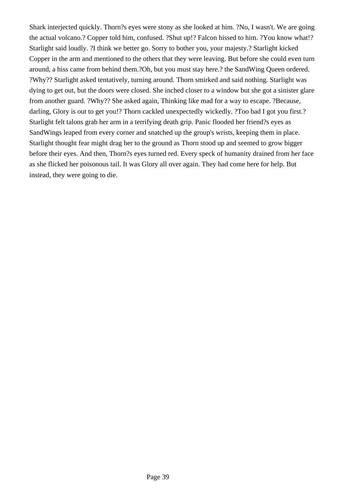Shark interjected quickly. Thorn?s eyes were stony as she looked at him. ?No, I wasn't. We are going the actual volcano.? Copper told him, confused. ?Shut up!? Falcon hissed to him. ?You know what!? Starlight said loudly. ?I think we better go. Sorry to bother you, your majesty.? Starlight kicked Copper in the arm and mentioned to the others that they were leaving. But before she could even turn around, a hiss came from behind them.?Oh, but you must stay here.? the SandWing Queen ordered. ?Why?? Starlight asked tentatively, turning around. Thorn smirked and said nothing. Starlight was dying to get out, but the doors were closed. She inched closer to a window but she got a sinister glare from another guard. ?Why?? She asked again, Thinking like mad for a way to escape. ?Because, darling, Glory is out to get you!? Thorn cackled unexpectedly wickedly. ?Too bad I got you first.? Starlight felt talons grab her arm in a terrifying death grip. Panic flooded her friend?s eyes as SandWings leaped from every corner and snatched up the group's wrists, keeping them in place. Starlight thought fear might drag her to the ground as Thorn stood up and seemed to grow bigger before their eyes. And then, Thorn?s eyes turned red. Every speck of humanity drained from her face as she flicked her poisonous tail. It was Glory all over again. They had come here for help. But instead, they were going to die.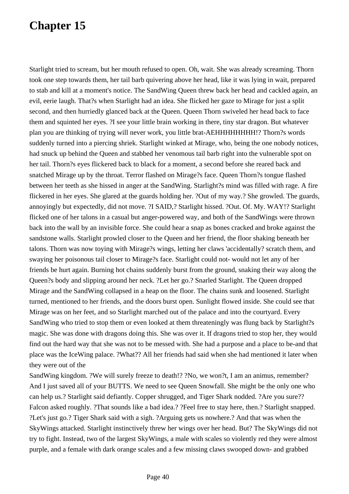Starlight tried to scream, but her mouth refused to open. Oh, wait. She was already screaming. Thorn took one step towards them, her tail barb quivering above her head, like it was lying in wait, prepared to stab and kill at a moment's notice. The SandWing Queen threw back her head and cackled again, an evil, eerie laugh. That?s when Starlight had an idea. She flicked her gaze to Mirage for just a split second, and then hurriedly glanced back at the Queen. Queen Thorn swiveled her head back to face them and squinted her eyes. ?I see your little brain working in there, tiny star dragon. But whatever plan you are thinking of trying will never work, you little brat-AEHHHHHHHH!? Thorn?s words suddenly turned into a piercing shriek. Starlight winked at Mirage, who, being the one nobody notices, had snuck up behind the Queen and stabbed her venomous tail barb right into the vulnerable spot on her tail. Thorn?s eyes flickered back to black for a moment, a second before she reared back and snatched Mirage up by the throat. Terror flashed on Mirage?s face. Queen Thorn?s tongue flashed between her teeth as she hissed in anger at the SandWing. Starlight?s mind was filled with rage. A fire flickered in her eyes. She glared at the guards holding her. ?Out of my way.? She growled. The guards, annoyingly but expectedly, did not move. ?I SAID,? Starlight hissed. ?Out. Of. My. WAY!? Starlight flicked one of her talons in a casual but anger-powered way, and both of the SandWings were thrown back into the wall by an invisible force. She could hear a snap as bones cracked and broke against the sandstone walls. Starlight prowled closer to the Queen and her friend, the floor shaking beneath her talons. Thorn was now toying with Mirage?s wings, letting her claws 'accidentally? scratch them, and swaying her poisonous tail closer to Mirage?s face. Starlight could not- would not let any of her friends be hurt again. Burning hot chains suddenly burst from the ground, snaking their way along the Queen?s body and slipping around her neck. ?Let her go.? Snarled Starlight. The Queen dropped Mirage and the SandWing collapsed in a heap on the floor. The chains sunk and loosened. Starlight turned, mentioned to her friends, and the doors burst open. Sunlight flowed inside. She could see that Mirage was on her feet, and so Starlight marched out of the palace and into the courtyard. Every SandWing who tried to stop them or even looked at them threateningly was flung back by Starlight?s magic. She was done with dragons doing this. She was over it. If dragons tried to stop her, they would find out the hard way that she was not to be messed with. She had a purpose and a place to be-and that place was the IceWing palace. ?What?? All her friends had said when she had mentioned it later when they were out of the

SandWing kingdom. ?We will surely freeze to death!? ?No, we won?t, I am an animus, remember? And I just saved all of your BUTTS. We need to see Queen Snowfall. She might be the only one who can help us.? Starlight said defiantly. Copper shrugged, and Tiger Shark nodded. ?Are you sure?? Falcon asked roughly. ?That sounds like a bad idea.? ?Feel free to stay here, then.? Starlight snapped. ?Let's just go.? Tiger Shark said with a sigh. ?Arguing gets us nowhere.? And that was when the SkyWings attacked. Starlight instinctively threw her wings over her head. But? The SkyWings did not try to fight. Instead, two of the largest SkyWings, a male with scales so violently red they were almost purple, and a female with dark orange scales and a few missing claws swooped down- and grabbed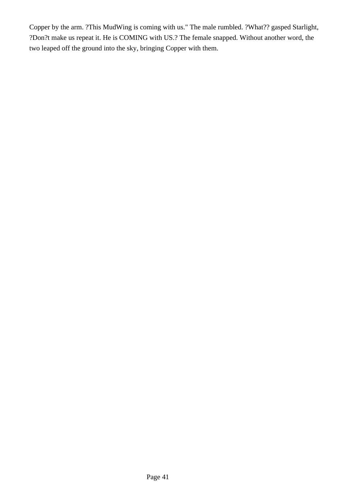Copper by the arm. ?This MudWing is coming with us." The male rumbled. ?What?? gasped Starlight, ?Don?t make us repeat it. He is COMING with US.? The female snapped. Without another word, the two leaped off the ground into the sky, bringing Copper with them.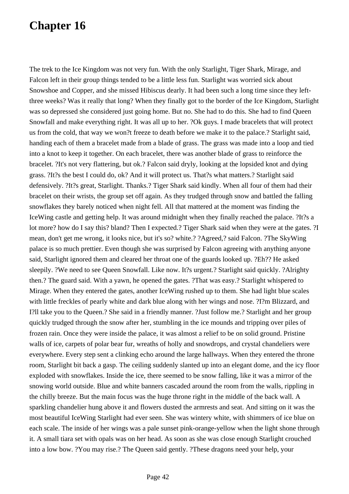The trek to the Ice Kingdom was not very fun. With the only Starlight, Tiger Shark, Mirage, and Falcon left in their group things tended to be a little less fun. Starlight was worried sick about Snowshoe and Copper, and she missed Hibiscus dearly. It had been such a long time since they leftthree weeks? Was it really that long? When they finally got to the border of the Ice Kingdom, Starlight was so depressed she considered just going home. But no. She had to do this. She had to find Queen Snowfall and make everything right. It was all up to her. ?Ok guys. I made bracelets that will protect us from the cold, that way we won?t freeze to death before we make it to the palace.? Starlight said, handing each of them a bracelet made from a blade of grass. The grass was made into a loop and tied into a knot to keep it together. On each bracelet, there was another blade of grass to reinforce the bracelet. ?It's not very flattering, but ok.? Falcon said dryly, looking at the lopsided knot and dying grass. ?It?s the best I could do, ok? And it will protect us. That?s what matters.? Starlight said defensively. ?It?s great, Starlight. Thanks.? Tiger Shark said kindly. When all four of them had their bracelet on their wrists, the group set off again. As they trudged through snow and battled the falling snowflakes they barely noticed when night fell. All that mattered at the moment was finding the IceWing castle and getting help. It was around midnight when they finally reached the palace. ?It?s a lot more? how do I say this? bland? Then I expected.? Tiger Shark said when they were at the gates. ?I mean, don't get me wrong, it looks nice, but it's so? white.? ?Agreed,? said Falcon. ?The SkyWing palace is so much prettier. Even though she was surprised by Falcon agreeing with anything anyone said, Starlight ignored them and cleared her throat one of the guards looked up. ?Eh?? He asked sleepily. ?We need to see Queen Snowfall. Like now. It?s urgent.? Starlight said quickly. ?Alrighty then.? The guard said. With a yawn, he opened the gates. ?That was easy.? Starlight whispered to Mirage. When they entered the gates, another IceWing rushed up to them. She had light blue scales with little freckles of pearly white and dark blue along with her wings and nose. ?I?m Blizzard, and I?ll take you to the Queen.? She said in a friendly manner. ?Just follow me.? Starlight and her group quickly trudged through the snow after her, stumbling in the ice mounds and tripping over piles of frozen rain. Once they were inside the palace, it was almost a relief to be on solid ground. Pristine walls of ice, carpets of polar bear fur, wreaths of holly and snowdrops, and crystal chandeliers were everywhere. Every step sent a clinking echo around the large hallways. When they entered the throne room, Starlight bit back a gasp. The ceiling suddenly slanted up into an elegant dome, and the icy floor exploded with snowflakes. Inside the ice, there seemed to be snow falling, like it was a mirror of the snowing world outside. Blue and white banners cascaded around the room from the walls, rippling in the chilly breeze. But the main focus was the huge throne right in the middle of the back wall. A sparkling chandelier hung above it and flowers dusted the armrests and seat. And sitting on it was the most beautiful IceWing Starlight had ever seen. She was wintery white, with shimmers of ice blue on each scale. The inside of her wings was a pale sunset pink-orange-yellow when the light shone through it. A small tiara set with opals was on her head. As soon as she was close enough Starlight crouched into a low bow. ?You may rise.? The Queen said gently. ?These dragons need your help, your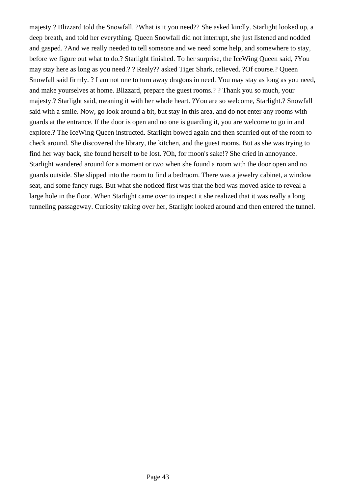majesty.? Blizzard told the Snowfall. ?What is it you need?? She asked kindly. Starlight looked up, a deep breath, and told her everything. Queen Snowfall did not interrupt, she just listened and nodded and gasped. ?And we really needed to tell someone and we need some help, and somewhere to stay, before we figure out what to do.? Starlight finished. To her surprise, the IceWing Queen said, ?You may stay here as long as you need.? ? Realy?? asked Tiger Shark, relieved. ?Of course.? Queen Snowfall said firmly. ? I am not one to turn away dragons in need. You may stay as long as you need, and make yourselves at home. Blizzard, prepare the guest rooms.? ? Thank you so much, your majesty.? Starlight said, meaning it with her whole heart. ?You are so welcome, Starlight.? Snowfall said with a smile. Now, go look around a bit, but stay in this area, and do not enter any rooms with guards at the entrance. If the door is open and no one is guarding it, you are welcome to go in and explore.? The IceWing Queen instructed. Starlight bowed again and then scurried out of the room to check around. She discovered the library, the kitchen, and the guest rooms. But as she was trying to find her way back, she found herself to be lost. ?Oh, for moon's sake!? She cried in annoyance. Starlight wandered around for a moment or two when she found a room with the door open and no guards outside. She slipped into the room to find a bedroom. There was a jewelry cabinet, a window seat, and some fancy rugs. But what she noticed first was that the bed was moved aside to reveal a large hole in the floor. When Starlight came over to inspect it she realized that it was really a long tunneling passageway. Curiosity taking over her, Starlight looked around and then entered the tunnel.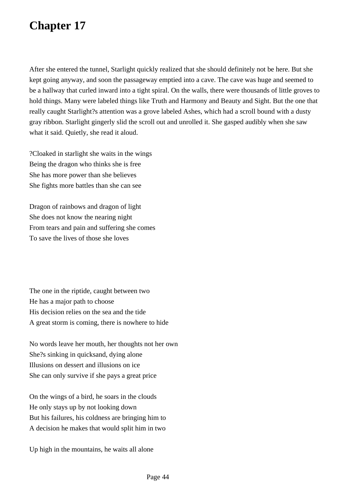After she entered the tunnel, Starlight quickly realized that she should definitely not be here. But she kept going anyway, and soon the passageway emptied into a cave. The cave was huge and seemed to be a hallway that curled inward into a tight spiral. On the walls, there were thousands of little groves to hold things. Many were labeled things like Truth and Harmony and Beauty and Sight. But the one that really caught Starlight?s attention was a grove labeled Ashes, which had a scroll bound with a dusty gray ribbon. Starlight gingerly slid the scroll out and unrolled it. She gasped audibly when she saw what it said. Quietly, she read it aloud.

?Cloaked in starlight she waits in the wings Being the dragon who thinks she is free She has more power than she believes She fights more battles than she can see

Dragon of rainbows and dragon of light She does not know the nearing night From tears and pain and suffering she comes To save the lives of those she loves

The one in the riptide, caught between two He has a major path to choose His decision relies on the sea and the tide A great storm is coming, there is nowhere to hide

No words leave her mouth, her thoughts not her own She?s sinking in quicksand, dying alone Illusions on dessert and illusions on ice She can only survive if she pays a great price

On the wings of a bird, he soars in the clouds He only stays up by not looking down But his failures, his coldness are bringing him to A decision he makes that would split him in two

Up high in the mountains, he waits all alone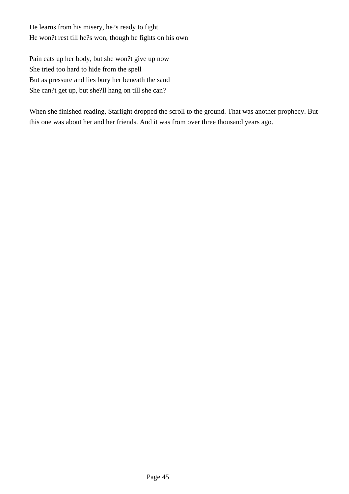He learns from his misery, he?s ready to fight He won?t rest till he?s won, though he fights on his own

Pain eats up her body, but she won?t give up now She tried too hard to hide from the spell But as pressure and lies bury her beneath the sand She can?t get up, but she?ll hang on till she can?

When she finished reading, Starlight dropped the scroll to the ground. That was another prophecy. But this one was about her and her friends. And it was from over three thousand years ago.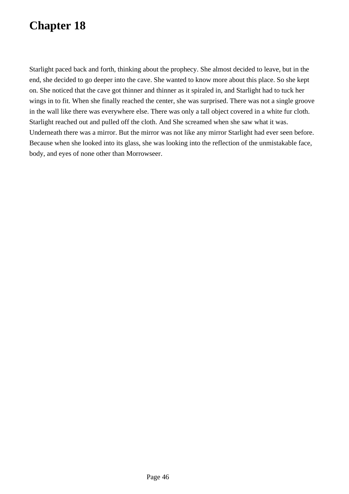Starlight paced back and forth, thinking about the prophecy. She almost decided to leave, but in the end, she decided to go deeper into the cave. She wanted to know more about this place. So she kept on. She noticed that the cave got thinner and thinner as it spiraled in, and Starlight had to tuck her wings in to fit. When she finally reached the center, she was surprised. There was not a single groove in the wall like there was everywhere else. There was only a tall object covered in a white fur cloth. Starlight reached out and pulled off the cloth. And She screamed when she saw what it was. Underneath there was a mirror. But the mirror was not like any mirror Starlight had ever seen before. Because when she looked into its glass, she was looking into the reflection of the unmistakable face, body, and eyes of none other than Morrowseer.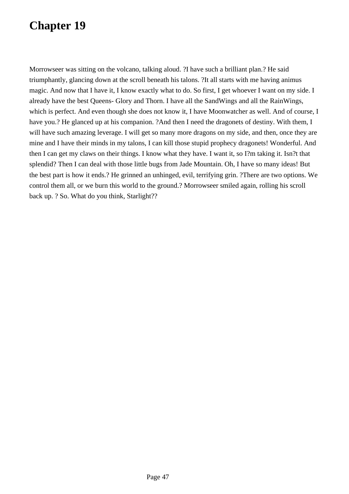Morrowseer was sitting on the volcano, talking aloud. ?I have such a brilliant plan.? He said triumphantly, glancing down at the scroll beneath his talons. ?It all starts with me having animus magic. And now that I have it, I know exactly what to do. So first, I get whoever I want on my side. I already have the best Queens- Glory and Thorn. I have all the SandWings and all the RainWings, which is perfect. And even though she does not know it, I have Moonwatcher as well. And of course, I have you.? He glanced up at his companion. ?And then I need the dragonets of destiny. With them, I will have such amazing leverage. I will get so many more dragons on my side, and then, once they are mine and I have their minds in my talons, I can kill those stupid prophecy dragonets! Wonderful. And then I can get my claws on their things. I know what they have. I want it, so I?m taking it. Isn?t that splendid? Then I can deal with those little bugs from Jade Mountain. Oh, I have so many ideas! But the best part is how it ends.? He grinned an unhinged, evil, terrifying grin. ?There are two options. We control them all, or we burn this world to the ground.? Morrowseer smiled again, rolling his scroll back up. ? So. What do you think, Starlight??